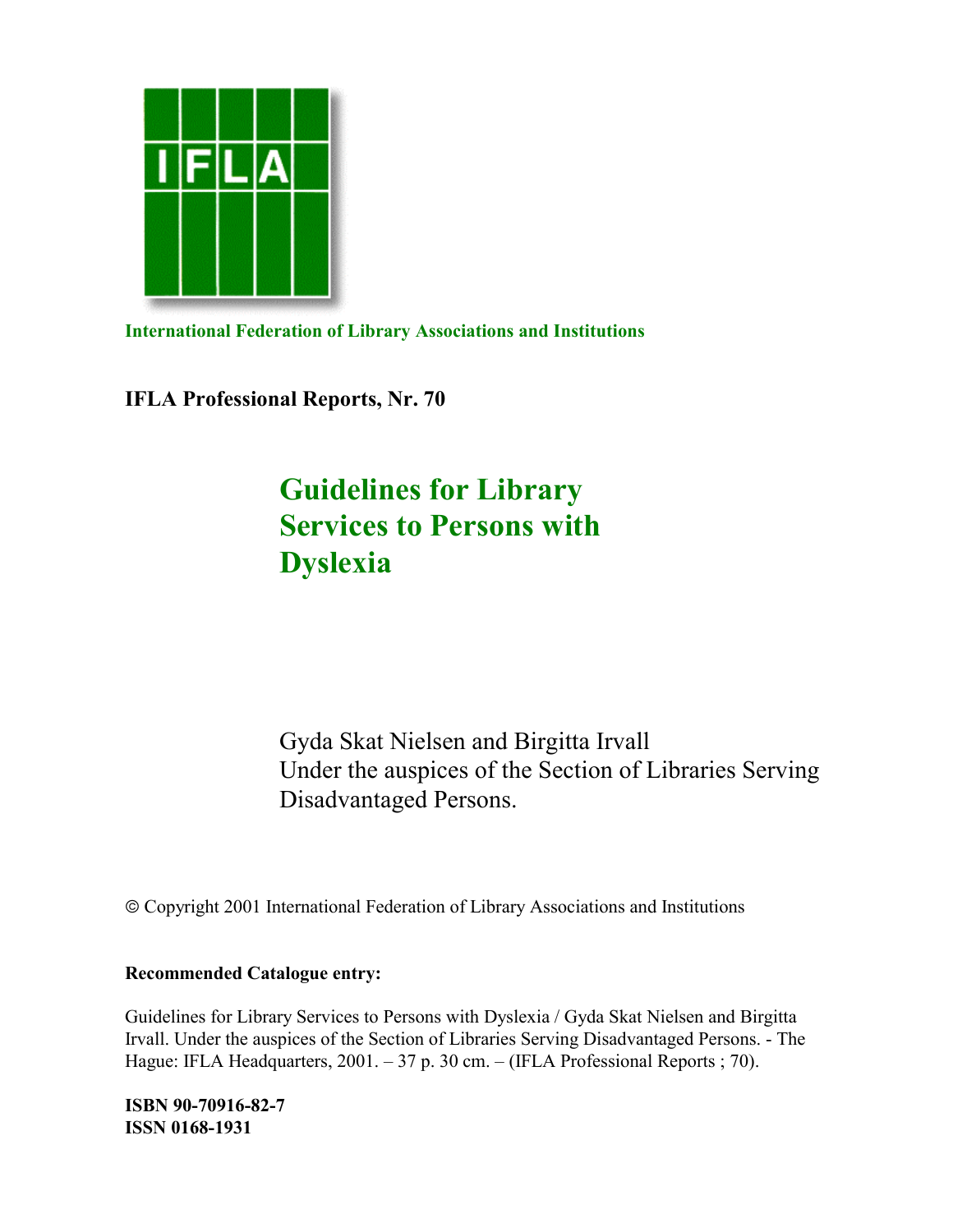

**International Federation of Library Associations and Institutions** 

**IFLA Professional Reports, Nr. 70** 

## **Guidelines for Library Services to Persons with Dyslexia**

Gyda Skat Nielsen and Birgitta Irvall Under the auspices of the Section of Libraries Serving Disadvantaged Persons.

� Copyright 2001 International Federation of Library Associations and Institutions

#### **Recommended Catalogue entry:**

Guidelines for Library Services to Persons with Dyslexia / Gyda Skat Nielsen and Birgitta Irvall. Under the auspices of the Section of Libraries Serving Disadvantaged Persons. - The Hague: IFLA Headquarters, 2001. – 37 p. 30 cm. – (IFLA Professional Reports ; 70).

**ISBN 90-70916-82-7 ISSN 0168-1931**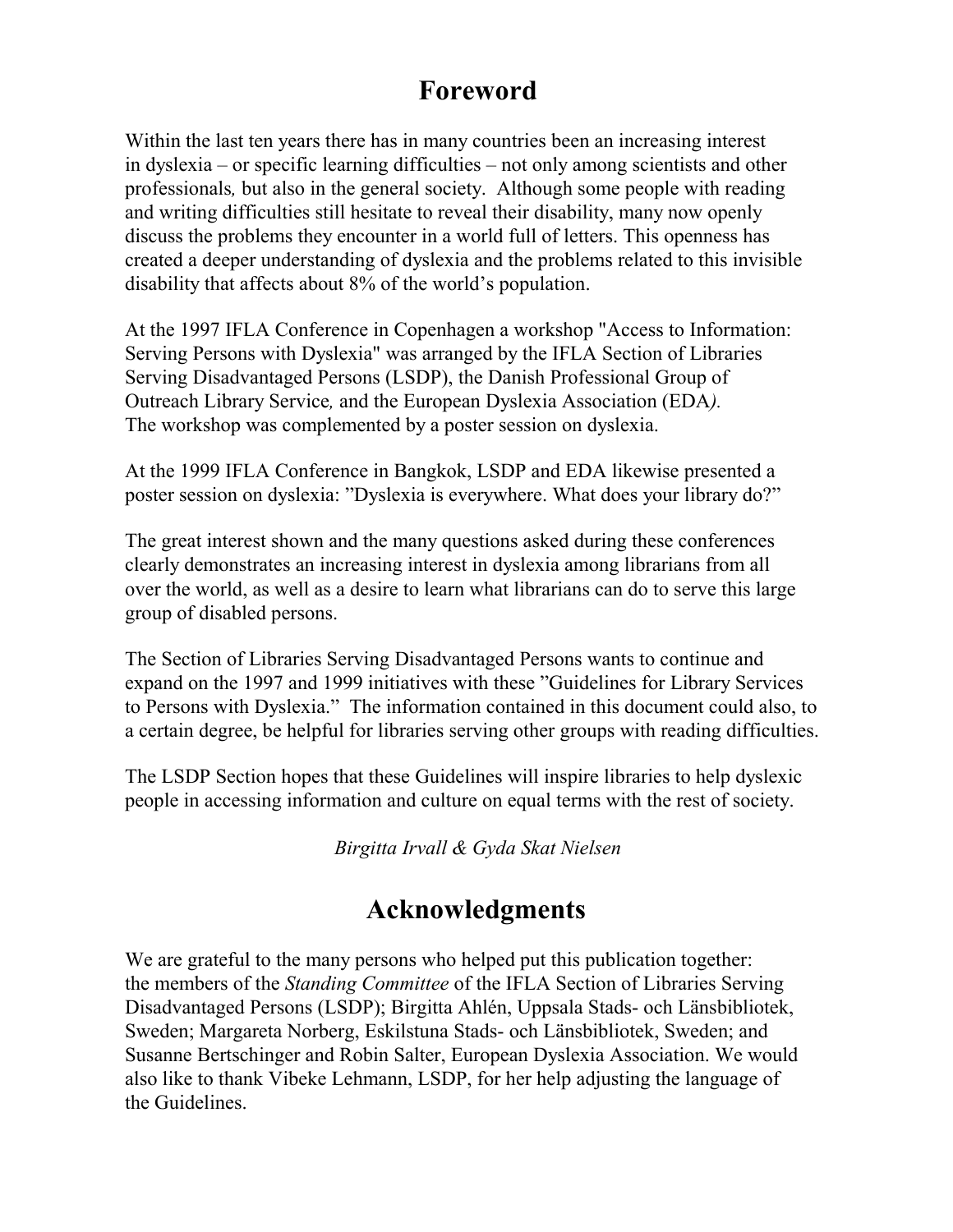## **Foreword**

Within the last ten years there has in many countries been an increasing interest in dyslexia – or specific learning difficulties – not only among scientists and other professionals*,* but also in the general society. Although some people with reading and writing difficulties still hesitate to reveal their disability, many now openly discuss the problems they encounter in a world full of letters. This openness has created a deeper understanding of dyslexia and the problems related to this invisible disability that affects about 8% of the world's population.

At the 1997 IFLA Conference in Copenhagen a workshop "Access to Information: Serving Persons with Dyslexia" was arranged by the IFLA Section of Libraries Serving Disadvantaged Persons (LSDP), the Danish Professional Group of Outreach Library Service*,* and the European Dyslexia Association (EDA*).* The workshop was complemented by a poster session on dyslexia.

At the 1999 IFLA Conference in Bangkok, LSDP and EDA likewise presented a poster session on dyslexia: "Dyslexia is everywhere. What does your library do?"

The great interest shown and the many questions asked during these conferences clearly demonstrates an increasing interest in dyslexia among librarians from all over the world, as well as a desire to learn what librarians can do to serve this large group of disabled persons.

The Section of Libraries Serving Disadvantaged Persons wants to continue and expand on the 1997 and 1999 initiatives with these "Guidelines for Library Services to Persons with Dyslexia." The information contained in this document could also, to a certain degree, be helpful for libraries serving other groups with reading difficulties.

The LSDP Section hopes that these Guidelines will inspire libraries to help dyslexic people in accessing information and culture on equal terms with the rest of society.

*Birgitta Irvall & Gyda Skat Nielsen* 

## **Acknowledgments**

We are grateful to the many persons who helped put this publication together: the members of the *Standing Committee* of the IFLA Section of Libraries Serving Disadvantaged Persons (LSDP); Birgitta Ahlén, Uppsala Stads- och Länsbibliotek, Sweden; Margareta Norberg, Eskilstuna Stads- och Länsbibliotek, Sweden; and Susanne Bertschinger and Robin Salter, European Dyslexia Association. We would also like to thank Vibeke Lehmann, LSDP, for her help adjusting the language of the Guidelines.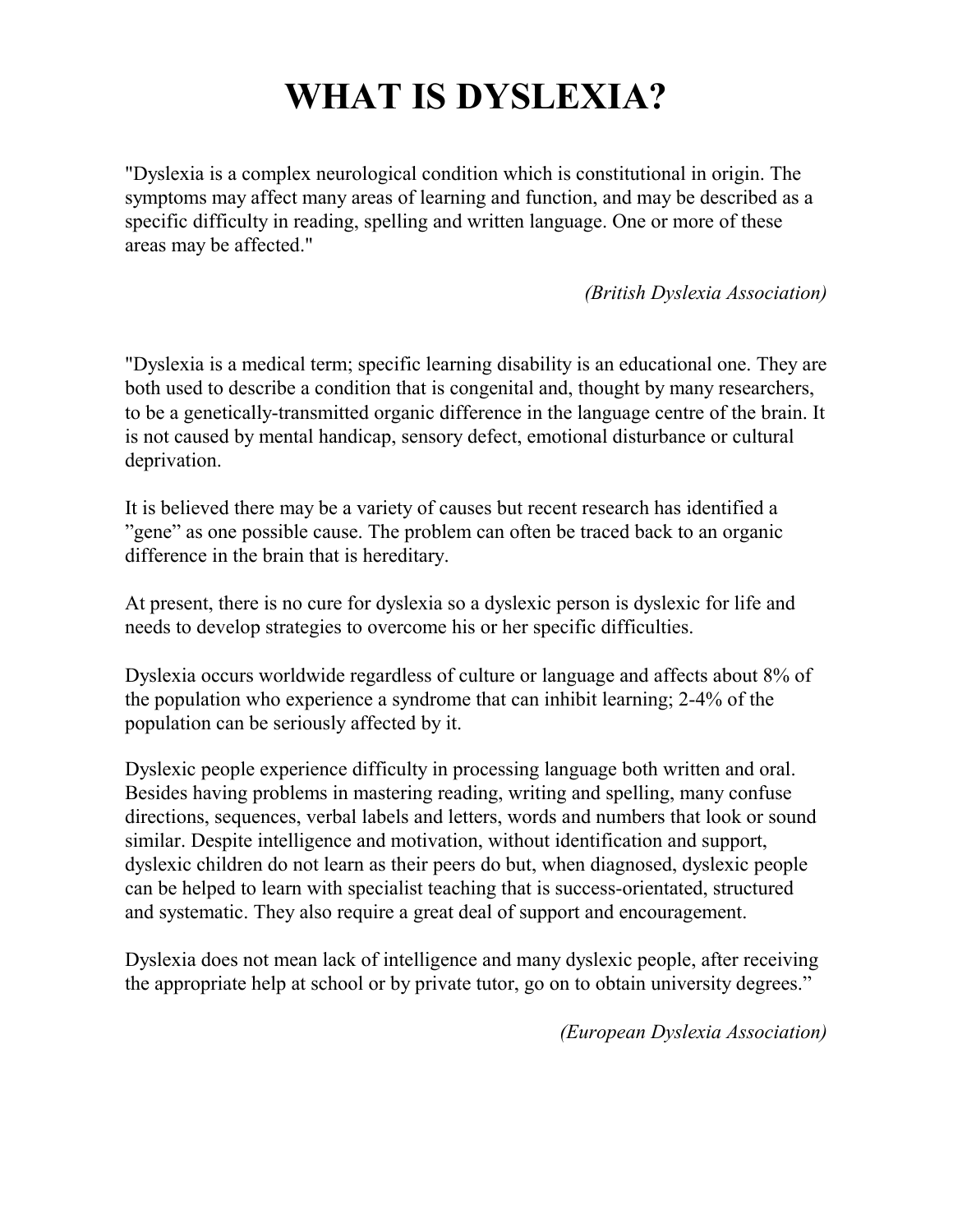# **WHAT IS DYSLEXIA?**

"Dyslexia is a complex neurological condition which is constitutional in origin. The symptoms may affect many areas of learning and function, and may be described as a specific difficulty in reading, spelling and written language. One or more of these areas may be affected."

*(British Dyslexia Association)* 

"Dyslexia is a medical term; specific learning disability is an educational one. They are both used to describe a condition that is congenital and, thought by many researchers, to be a genetically-transmitted organic difference in the language centre of the brain. It is not caused by mental handicap, sensory defect, emotional disturbance or cultural deprivation.

It is believed there may be a variety of causes but recent research has identified a "gene" as one possible cause. The problem can often be traced back to an organic difference in the brain that is hereditary.

At present, there is no cure for dyslexia so a dyslexic person is dyslexic for life and needs to develop strategies to overcome his or her specific difficulties.

Dyslexia occurs worldwide regardless of culture or language and affects about 8% of the population who experience a syndrome that can inhibit learning; 2-4% of the population can be seriously affected by it.

Dyslexic people experience difficulty in processing language both written and oral. Besides having problems in mastering reading, writing and spelling, many confuse directions, sequences, verbal labels and letters, words and numbers that look or sound similar. Despite intelligence and motivation, without identification and support, dyslexic children do not learn as their peers do but, when diagnosed, dyslexic people can be helped to learn with specialist teaching that is success-orientated, structured and systematic. They also require a great deal of support and encouragement.

Dyslexia does not mean lack of intelligence and many dyslexic people, after receiving the appropriate help at school or by private tutor, go on to obtain university degrees."

*(European Dyslexia Association)*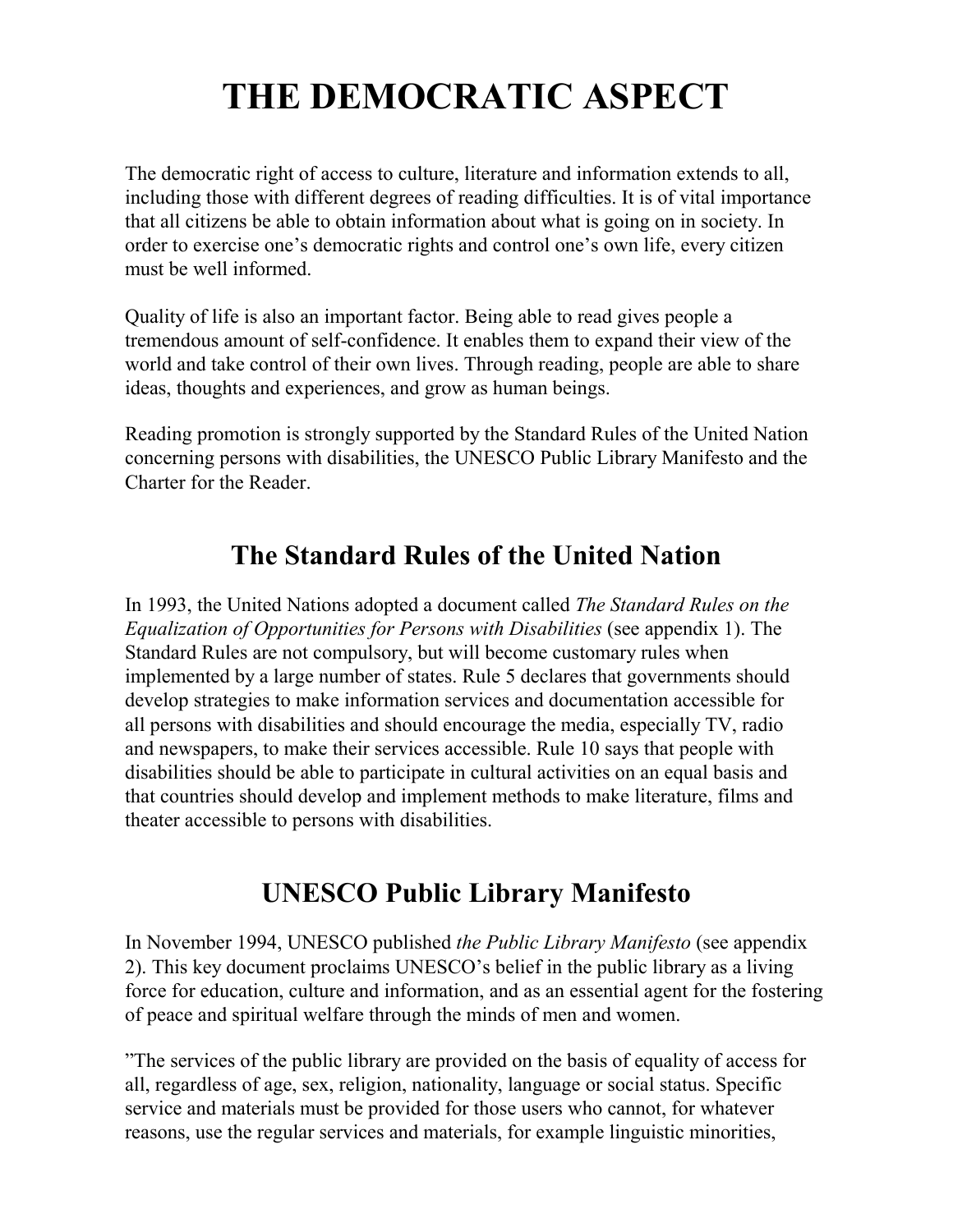# **THE DEMOCRATIC ASPECT**

The democratic right of access to culture, literature and information extends to all, including those with different degrees of reading difficulties. It is of vital importance that all citizens be able to obtain information about what is going on in society. In order to exercise one's democratic rights and control one's own life, every citizen must be well informed.

Quality of life is also an important factor. Being able to read gives people a tremendous amount of self-confidence. It enables them to expand their view of the world and take control of their own lives. Through reading, people are able to share ideas, thoughts and experiences, and grow as human beings.

Reading promotion is strongly supported by the Standard Rules of the United Nation concerning persons with disabilities, the UNESCO Public Library Manifesto and the Charter for the Reader.

## **The Standard Rules of the United Nation**

In 1993, the United Nations adopted a document called *The Standard Rules on the Equalization of Opportunities for Persons with Disabilities* (see appendix 1). The Standard Rules are not compulsory, but will become customary rules when implemented by a large number of states. Rule 5 declares that governments should develop strategies to make information services and documentation accessible for all persons with disabilities and should encourage the media, especially TV, radio and newspapers, to make their services accessible. Rule 10 says that people with disabilities should be able to participate in cultural activities on an equal basis and that countries should develop and implement methods to make literature, films and theater accessible to persons with disabilities.

## **UNESCO Public Library Manifesto**

In November 1994, UNESCO published *the Public Library Manifesto* (see appendix 2). This key document proclaims UNESCO's belief in the public library as a living force for education, culture and information, and as an essential agent for the fostering of peace and spiritual welfare through the minds of men and women.

"The services of the public library are provided on the basis of equality of access for all, regardless of age, sex, religion, nationality, language or social status. Specific service and materials must be provided for those users who cannot, for whatever reasons, use the regular services and materials, for example linguistic minorities,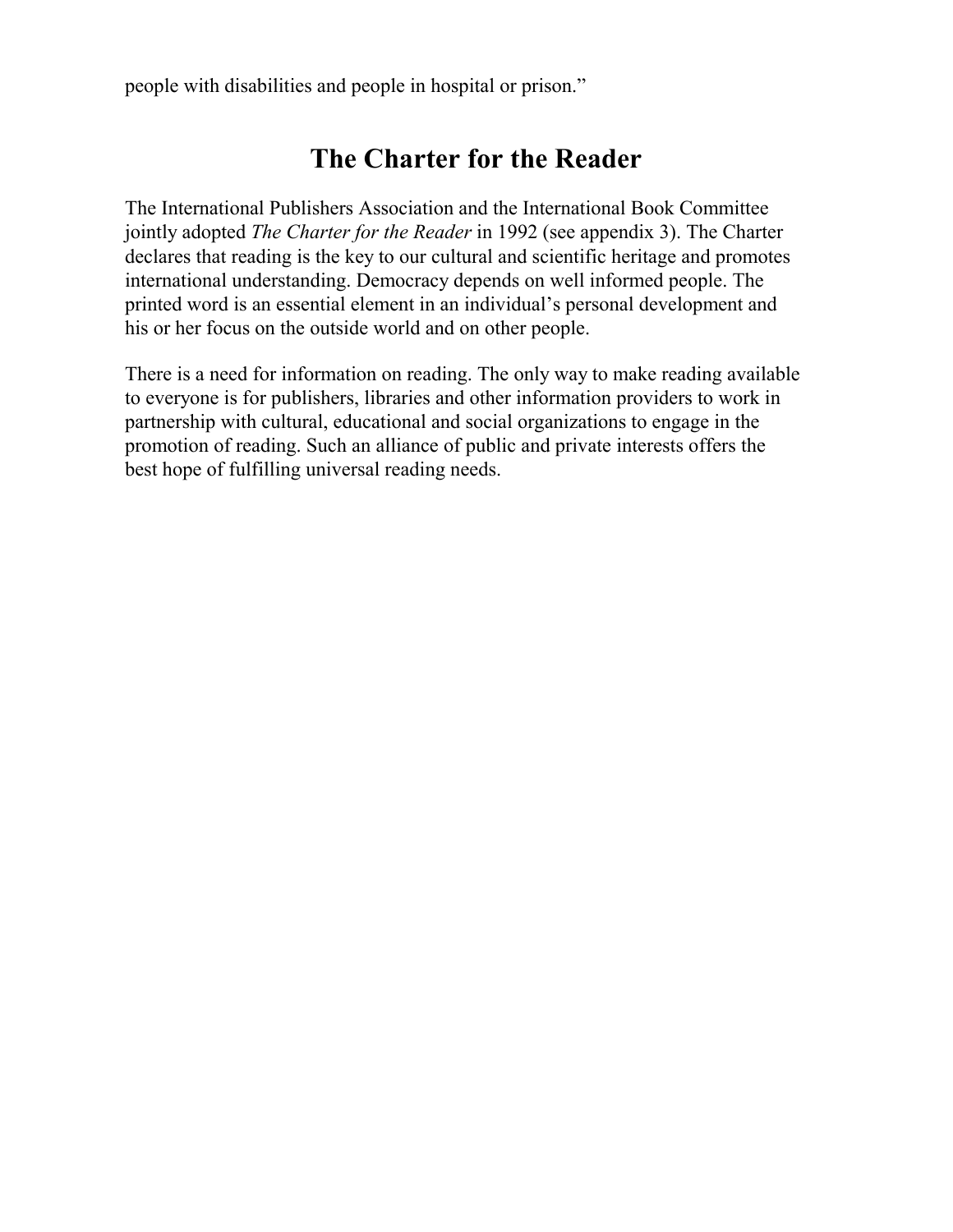people with disabilities and people in hospital or prison."

## **The Charter for the Reader**

The International Publishers Association and the International Book Committee jointly adopted *The Charter for the Reader* in 1992 (see appendix 3). The Charter declares that reading is the key to our cultural and scientific heritage and promotes international understanding. Democracy depends on well informed people. The printed word is an essential element in an individual's personal development and his or her focus on the outside world and on other people.

There is a need for information on reading. The only way to make reading available to everyone is for publishers, libraries and other information providers to work in partnership with cultural, educational and social organizations to engage in the promotion of reading. Such an alliance of public and private interests offers the best hope of fulfilling universal reading needs.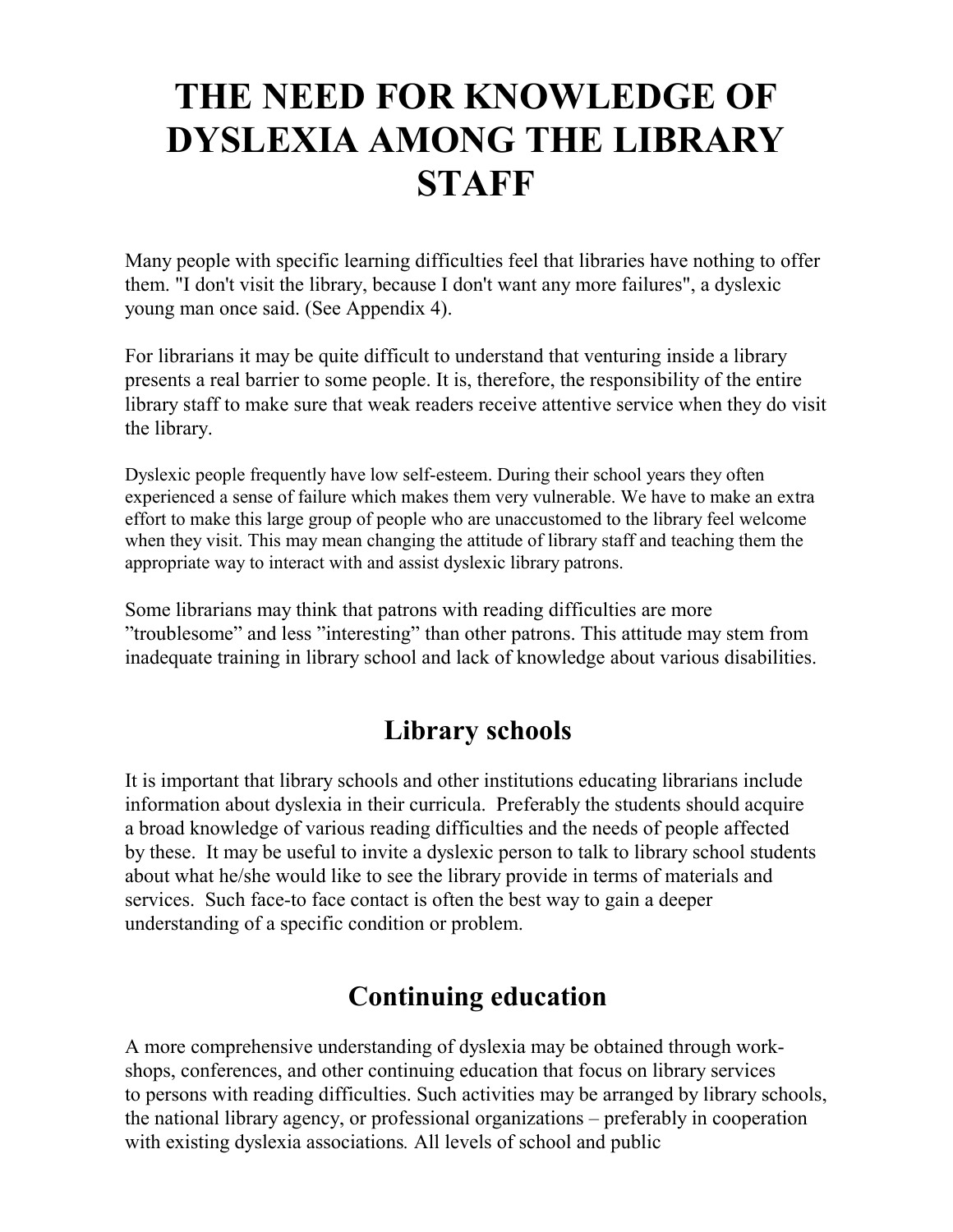# **THE NEED FOR KNOWLEDGE OF DYSLEXIA AMONG THE LIBRARY STAFF**

Many people with specific learning difficulties feel that libraries have nothing to offer them. "I don't visit the library, because I don't want any more failures", a dyslexic young man once said. (See Appendix 4).

For librarians it may be quite difficult to understand that venturing inside a library presents a real barrier to some people. It is, therefore, the responsibility of the entire library staff to make sure that weak readers receive attentive service when they do visit the library.

Dyslexic people frequently have low self-esteem. During their school years they often experienced a sense of failure which makes them very vulnerable. We have to make an extra effort to make this large group of people who are unaccustomed to the library feel welcome when they visit. This may mean changing the attitude of library staff and teaching them the appropriate way to interact with and assist dyslexic library patrons.

Some librarians may think that patrons with reading difficulties are more "troublesome" and less "interesting" than other patrons. This attitude may stem from inadequate training in library school and lack of knowledge about various disabilities.

## **Library schools**

It is important that library schools and other institutions educating librarians include information about dyslexia in their curricula. Preferably the students should acquire a broad knowledge of various reading difficulties and the needs of people affected by these. It may be useful to invite a dyslexic person to talk to library school students about what he/she would like to see the library provide in terms of materials and services. Such face-to face contact is often the best way to gain a deeper understanding of a specific condition or problem.

## **Continuing education**

A more comprehensive understanding of dyslexia may be obtained through workshops, conferences, and other continuing education that focus on library services to persons with reading difficulties. Such activities may be arranged by library schools, the national library agency, or professional organizations – preferably in cooperation with existing dyslexia associations*.* All levels of school and public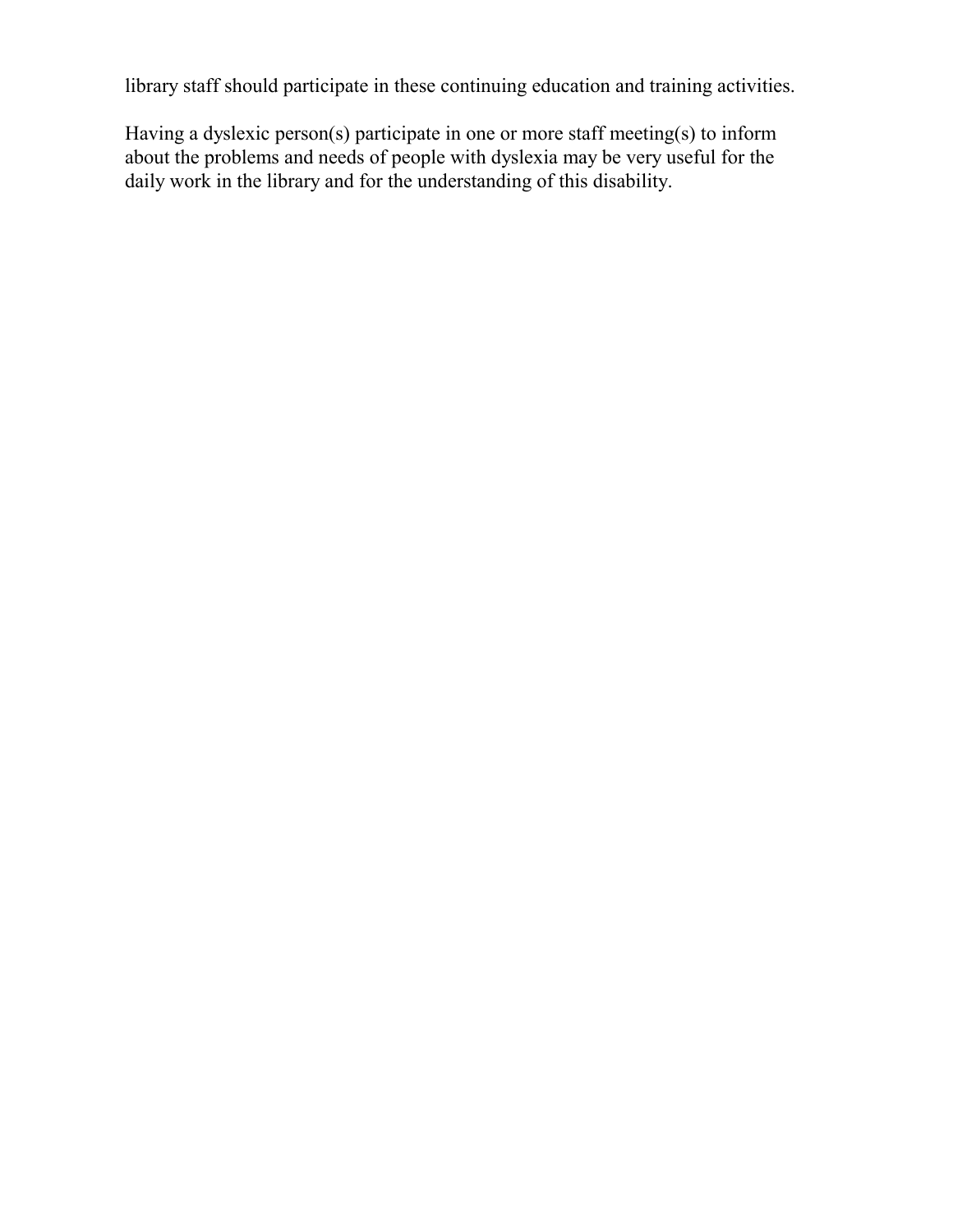library staff should participate in these continuing education and training activities.

Having a dyslexic person(s) participate in one or more staff meeting(s) to inform about the problems and needs of people with dyslexia may be very useful for the daily work in the library and for the understanding of this disability.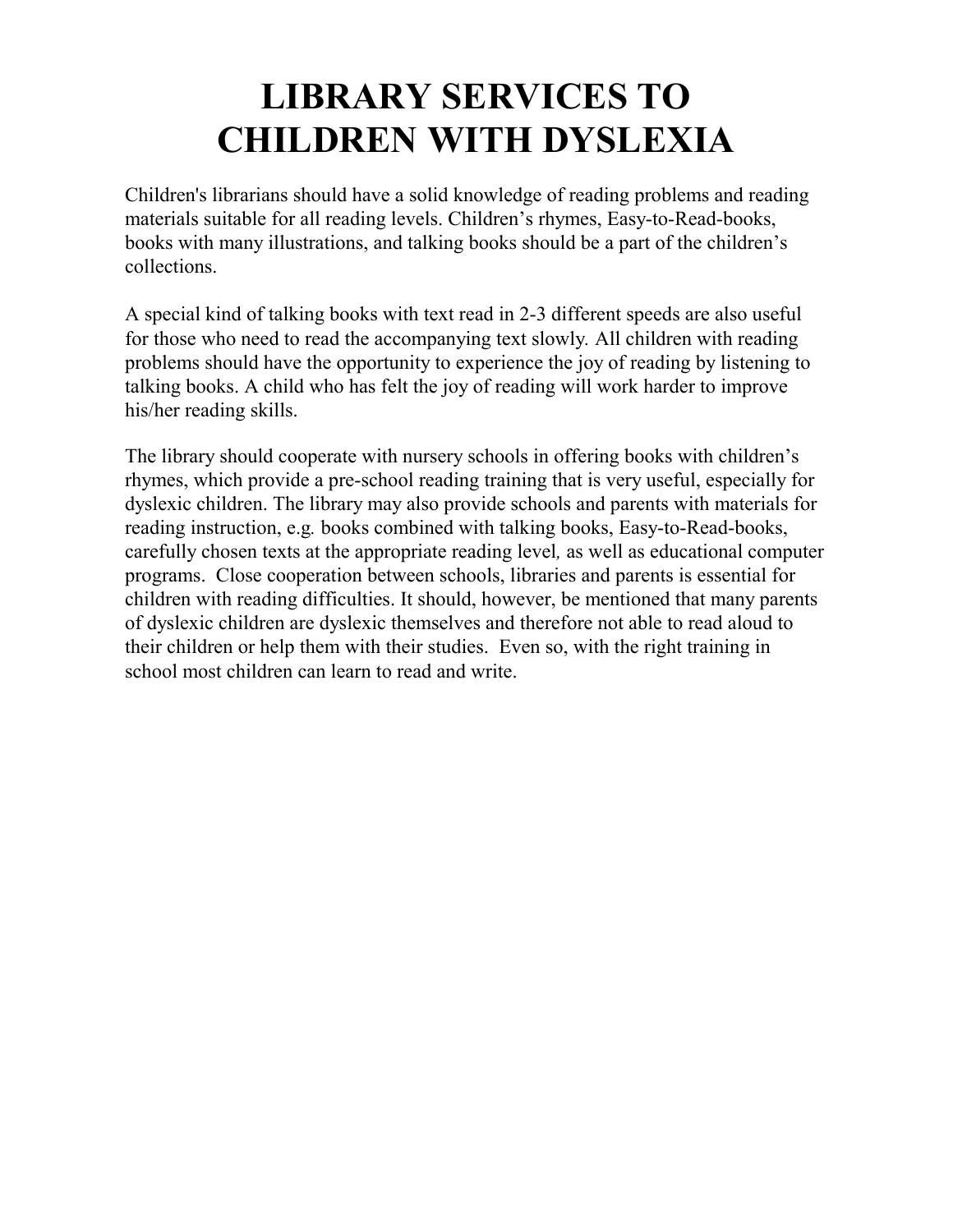# **LIBRARY SERVICES TO CHILDREN WITH DYSLEXIA**

Children's librarians should have a solid knowledge of reading problems and reading materials suitable for all reading levels. Children's rhymes, Easy-to-Read-books, books with many illustrations, and talking books should be a part of the children's collections.

A special kind of talking books with text read in 2-3 different speeds are also useful for those who need to read the accompanying text slowly*.* All children with reading problems should have the opportunity to experience the joy of reading by listening to talking books. A child who has felt the joy of reading will work harder to improve his/her reading skills.

The library should cooperate with nursery schools in offering books with children's rhymes, which provide a pre-school reading training that is very useful, especially for dyslexic children. The library may also provide schools and parents with materials for reading instruction, e.g*.* books combined with talking books, Easy-to-Read-books, carefully chosen texts at the appropriate reading level*,* as well as educational computer programs. Close cooperation between schools, libraries and parents is essential for children with reading difficulties. It should, however, be mentioned that many parents of dyslexic children are dyslexic themselves and therefore not able to read aloud to their children or help them with their studies. Even so, with the right training in school most children can learn to read and write.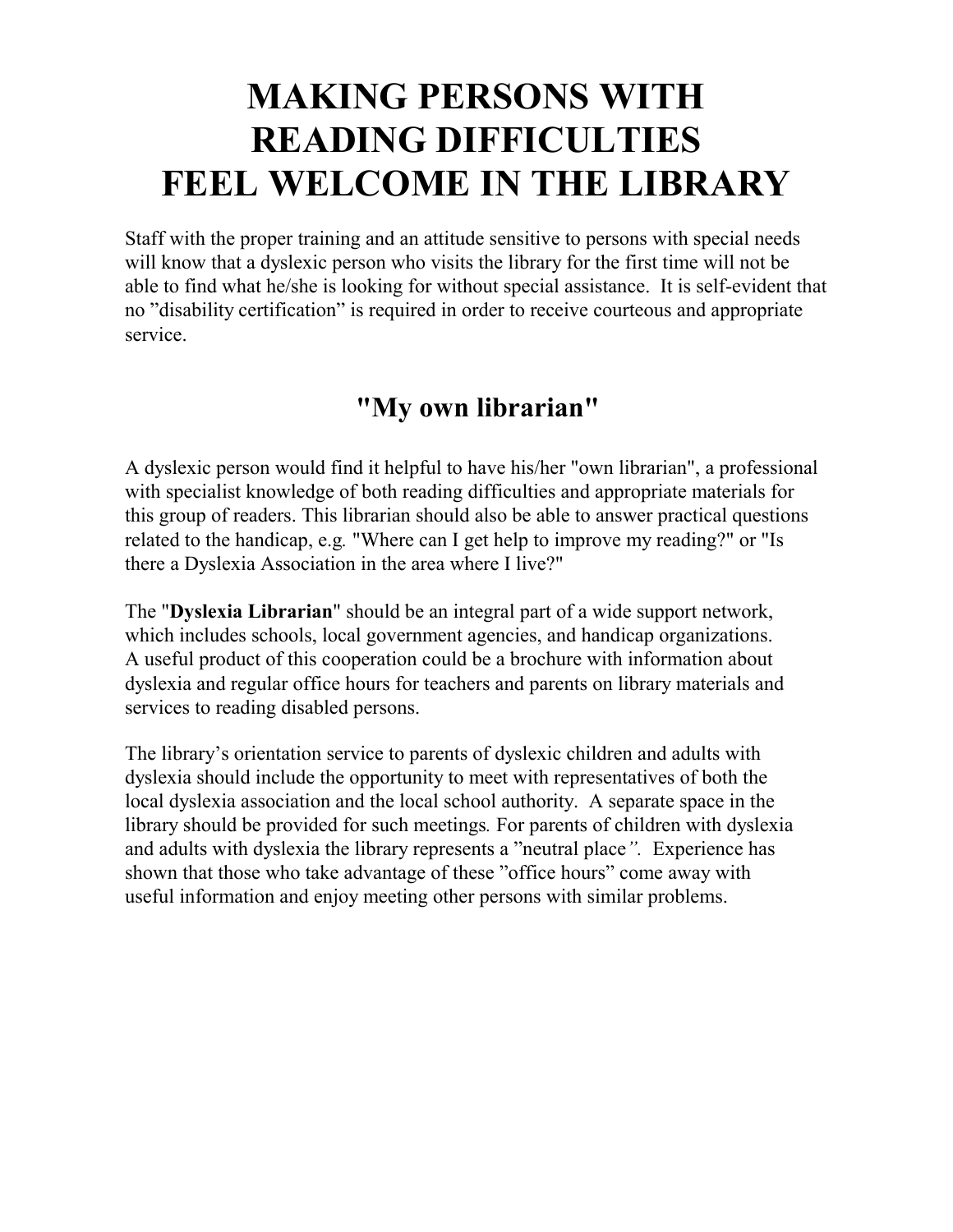# **MAKING PERSONS WITH READING DIFFICULTIES FEEL WELCOME IN THE LIBRARY**

Staff with the proper training and an attitude sensitive to persons with special needs will know that a dyslexic person who visits the library for the first time will not be able to find what he/she is looking for without special assistance. It is self-evident that no "disability certification" is required in order to receive courteous and appropriate service.

## **"My own librarian"**

A dyslexic person would find it helpful to have his/her "own librarian", a professional with specialist knowledge of both reading difficulties and appropriate materials for this group of readers. This librarian should also be able to answer practical questions related to the handicap, e.g*.* "Where can I get help to improve my reading?" or "Is there a Dyslexia Association in the area where I live?"

The "**Dyslexia Librarian**" should be an integral part of a wide support network, which includes schools, local government agencies, and handicap organizations. A useful product of this cooperation could be a brochure with information about dyslexia and regular office hours for teachers and parents on library materials and services to reading disabled persons.

The library's orientation service to parents of dyslexic children and adults with dyslexia should include the opportunity to meet with representatives of both the local dyslexia association and the local school authority. A separate space in the library should be provided for such meetings*.* For parents of children with dyslexia and adults with dyslexia the library represents a "neutral place*".* Experience has shown that those who take advantage of these "office hours" come away with useful information and enjoy meeting other persons with similar problems.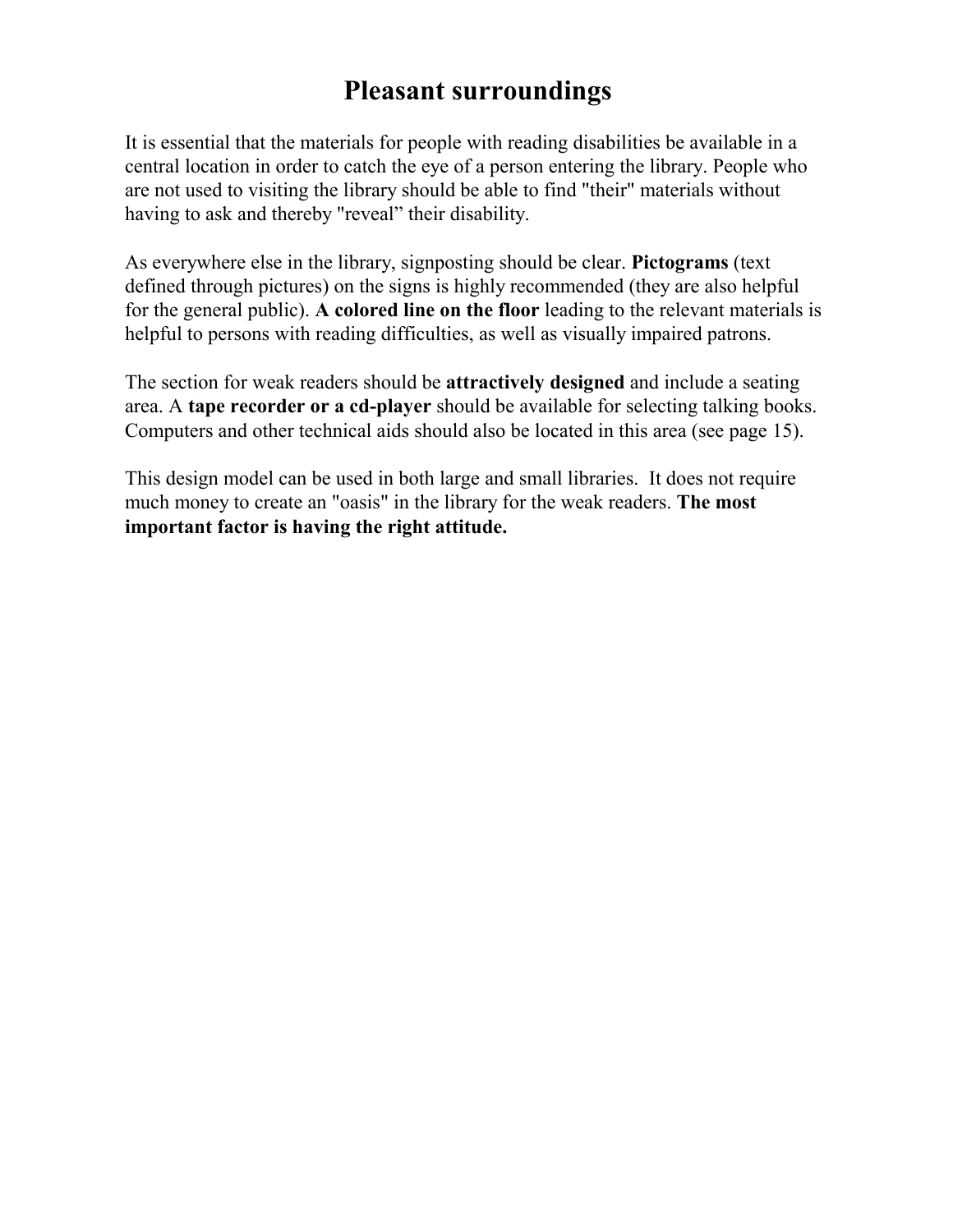## **Pleasant surroundings**

It is essential that the materials for people with reading disabilities be available in a central location in order to catch the eye of a person entering the library. People who are not used to visiting the library should be able to find "their" materials without having to ask and thereby "reveal" their disability.

As everywhere else in the library, signposting should be clear. **Pictograms** (text defined through pictures) on the signs is highly recommended (they are also helpful for the general public). **A colored line on the floor** leading to the relevant materials is helpful to persons with reading difficulties, as well as visually impaired patrons.

The section for weak readers should be **attractively designed** and include a seating area. A **tape recorder or a cd-player** should be available for selecting talking books. Computers and other technical aids should also be located in this area (see page 15).

This design model can be used in both large and small libraries. It does not require much money to create an "oasis" in the library for the weak readers. **The most important factor is having the right attitude.**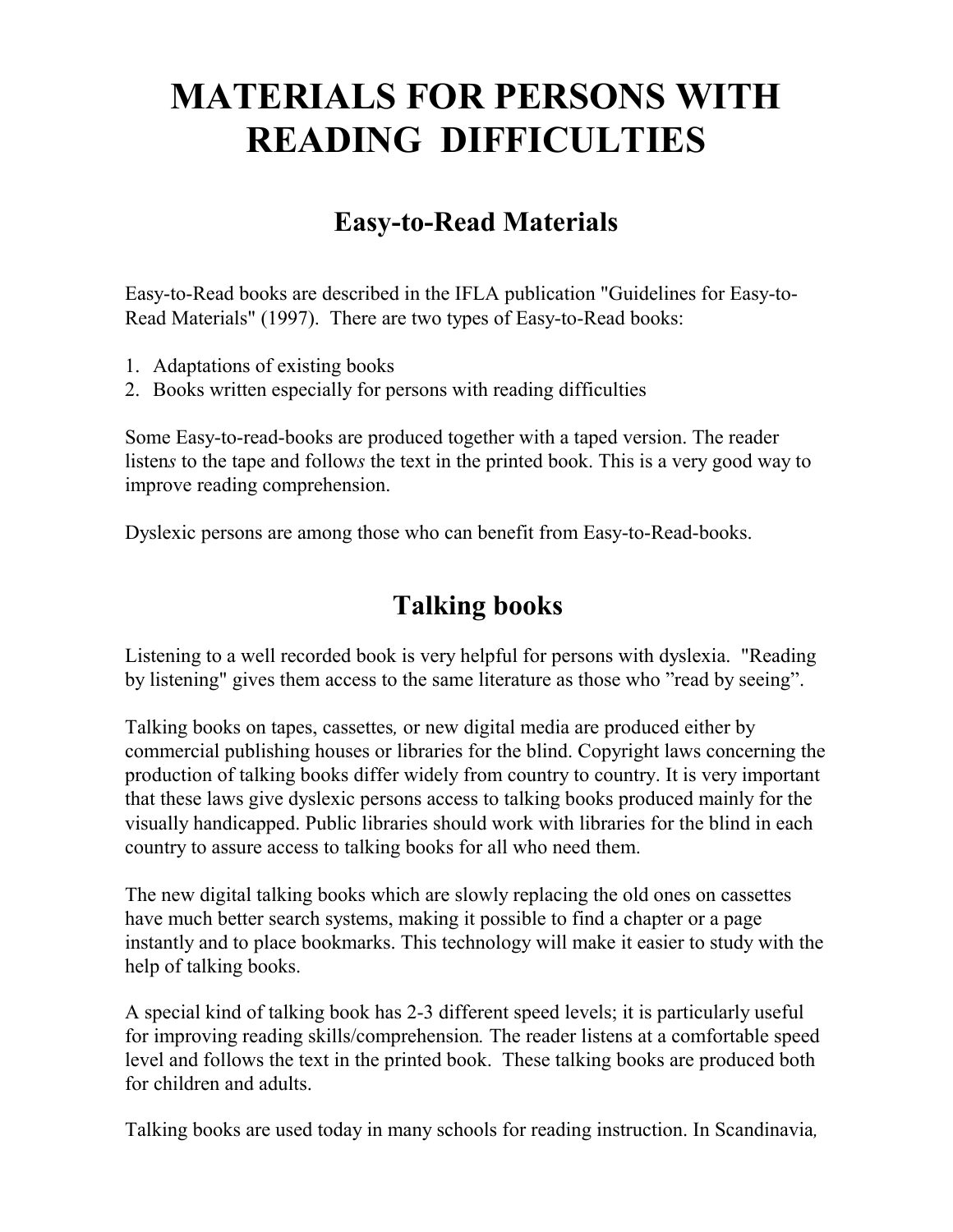# **MATERIALS FOR PERSONS WITH READING DIFFICULTIES**

## **Easy-to-Read Materials**

Easy-to-Read books are described in the IFLA publication "Guidelines for Easy-to-Read Materials" (1997). There are two types of Easy-to-Read books:

- 1. Adaptations of existing books
- 2. Books written especially for persons with reading difficulties

Some Easy-to-read-books are produced together with a taped version. The reader listen*s* to the tape and follow*s* the text in the printed book. This is a very good way to improve reading comprehension.

Dyslexic persons are among those who can benefit from Easy-to-Read-books.

## **Talking books**

Listening to a well recorded book is very helpful for persons with dyslexia. "Reading by listening" gives them access to the same literature as those who "read by seeing".

Talking books on tapes, cassettes*,* or new digital media are produced either by commercial publishing houses or libraries for the blind. Copyright laws concerning the production of talking books differ widely from country to country. It is very important that these laws give dyslexic persons access to talking books produced mainly for the visually handicapped. Public libraries should work with libraries for the blind in each country to assure access to talking books for all who need them.

The new digital talking books which are slowly replacing the old ones on cassettes have much better search systems, making it possible to find a chapter or a page instantly and to place bookmarks. This technology will make it easier to study with the help of talking books.

A special kind of talking book has 2-3 different speed levels; it is particularly useful for improving reading skills/comprehension*.* The reader listens at a comfortable speed level and follows the text in the printed book. These talking books are produced both for children and adults.

Talking books are used today in many schools for reading instruction. In Scandinavia*,*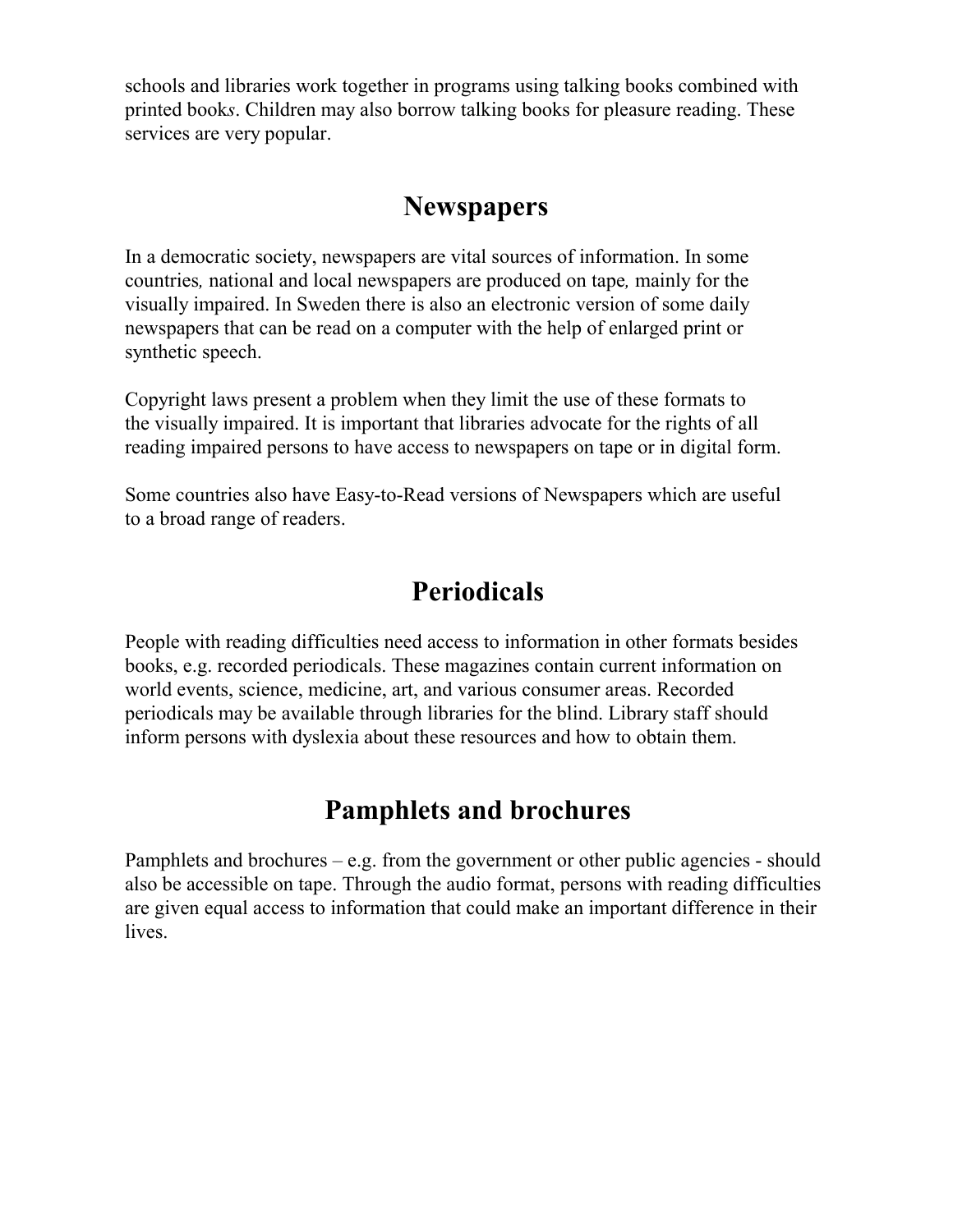schools and libraries work together in programs using talking books combined with printed book*s*. Children may also borrow talking books for pleasure reading. These services are very popular.

## **Newspapers**

In a democratic society, newspapers are vital sources of information. In some countries*,* national and local newspapers are produced on tape*,* mainly for the visually impaired. In Sweden there is also an electronic version of some daily newspapers that can be read on a computer with the help of enlarged print or synthetic speech.

Copyright laws present a problem when they limit the use of these formats to the visually impaired. It is important that libraries advocate for the rights of all reading impaired persons to have access to newspapers on tape or in digital form.

Some countries also have Easy-to-Read versions of Newspapers which are useful to a broad range of readers.

## **Periodicals**

People with reading difficulties need access to information in other formats besides books, e.g. recorded periodicals. These magazines contain current information on world events, science, medicine, art, and various consumer areas. Recorded periodicals may be available through libraries for the blind. Library staff should inform persons with dyslexia about these resources and how to obtain them.

## **Pamphlets and brochures**

Pamphlets and brochures  $-e.g.$  from the government or other public agencies - should also be accessible on tape. Through the audio format, persons with reading difficulties are given equal access to information that could make an important difference in their lives.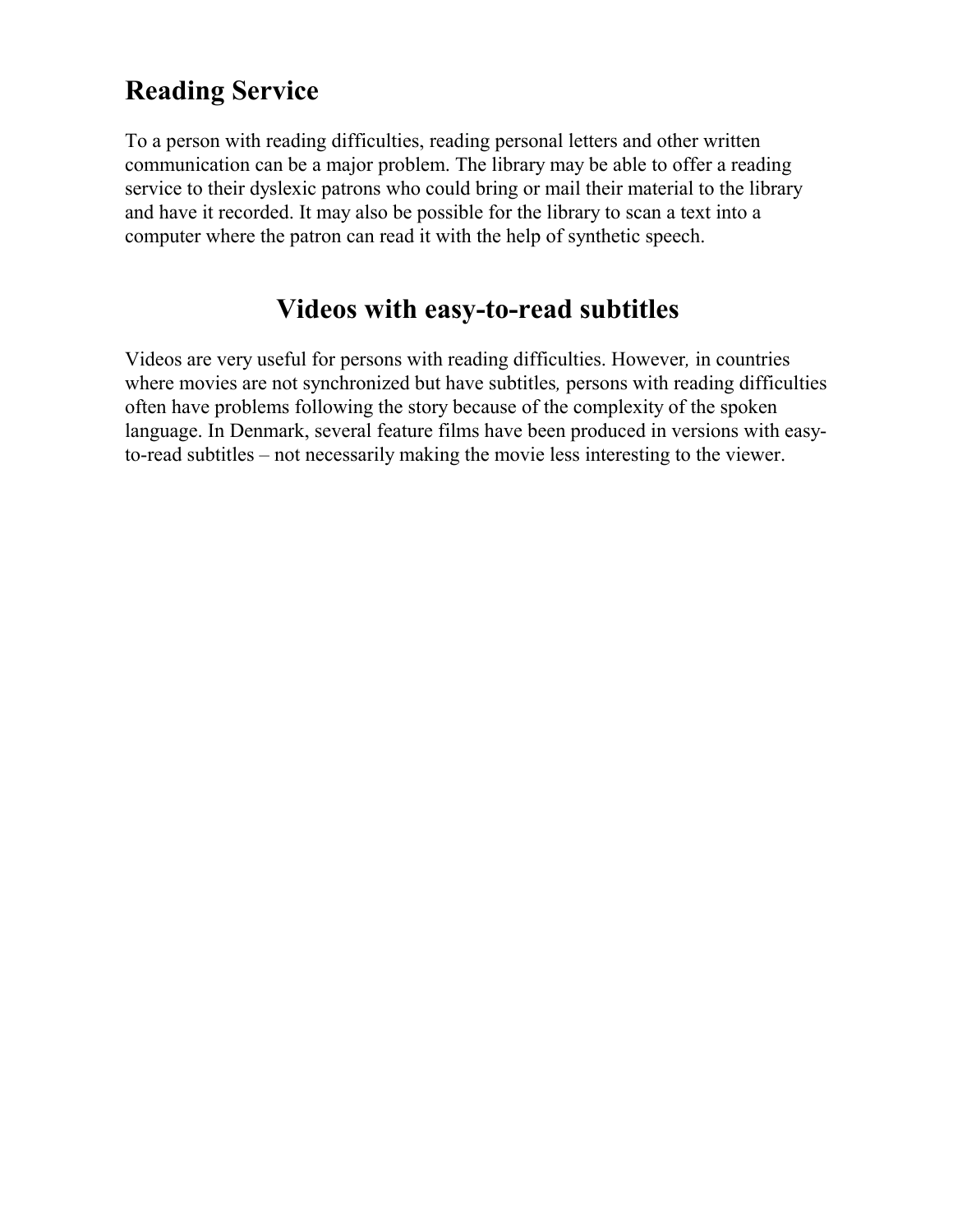## **Reading Service**

To a person with reading difficulties, reading personal letters and other written communication can be a major problem. The library may be able to offer a reading service to their dyslexic patrons who could bring or mail their material to the library and have it recorded. It may also be possible for the library to scan a text into a computer where the patron can read it with the help of synthetic speech.

## **Videos with easy-to-read subtitles**

Videos are very useful for persons with reading difficulties. However*,* in countries where movies are not synchronized but have subtitles*,* persons with reading difficulties often have problems following the story because of the complexity of the spoken language. In Denmark, several feature films have been produced in versions with easyto-read subtitles – not necessarily making the movie less interesting to the viewer.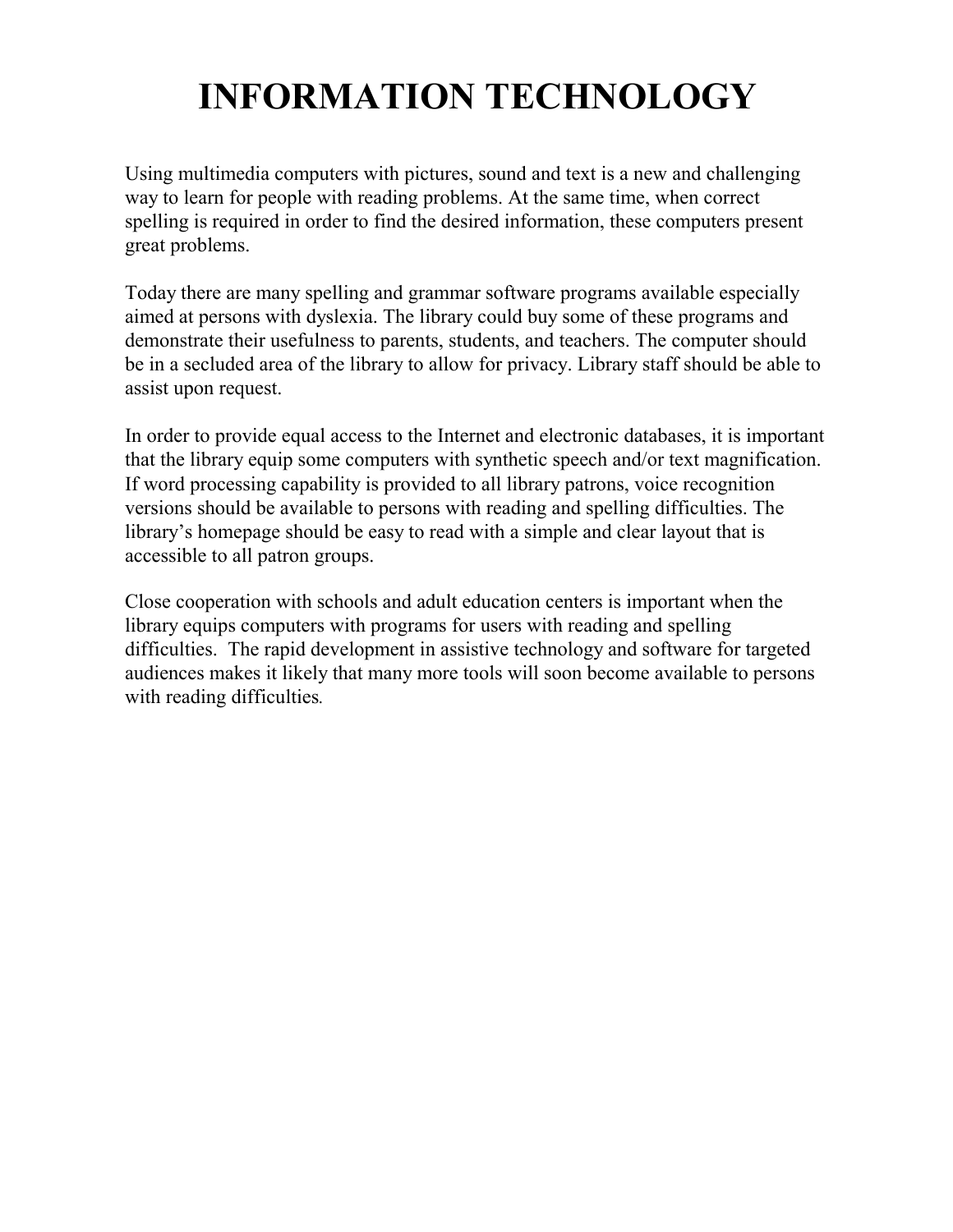# **INFORMATION TECHNOLOGY**

Using multimedia computers with pictures, sound and text is a new and challenging way to learn for people with reading problems. At the same time, when correct spelling is required in order to find the desired information, these computers present great problems.

Today there are many spelling and grammar software programs available especially aimed at persons with dyslexia. The library could buy some of these programs and demonstrate their usefulness to parents, students, and teachers. The computer should be in a secluded area of the library to allow for privacy. Library staff should be able to assist upon request.

In order to provide equal access to the Internet and electronic databases, it is important that the library equip some computers with synthetic speech and/or text magnification. If word processing capability is provided to all library patrons, voice recognition versions should be available to persons with reading and spelling difficulties. The library's homepage should be easy to read with a simple and clear layout that is accessible to all patron groups.

Close cooperation with schools and adult education centers is important when the library equips computers with programs for users with reading and spelling difficulties. The rapid development in assistive technology and software for targeted audiences makes it likely that many more tools will soon become available to persons with reading difficulties*.*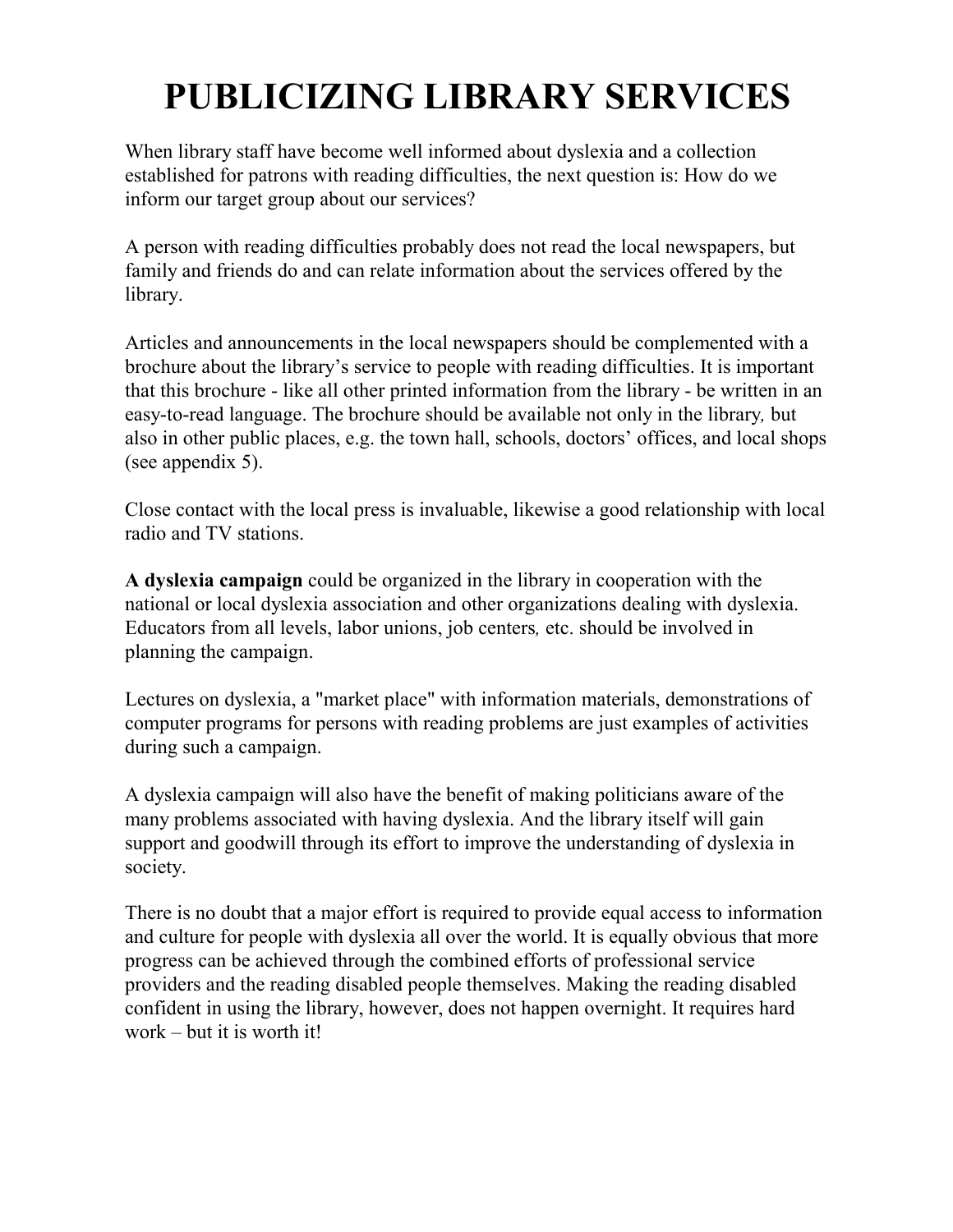# **PUBLICIZING LIBRARY SERVICES**

When library staff have become well informed about dyslexia and a collection established for patrons with reading difficulties, the next question is: How do we inform our target group about our services?

A person with reading difficulties probably does not read the local newspapers, but family and friends do and can relate information about the services offered by the library.

Articles and announcements in the local newspapers should be complemented with a brochure about the library's service to people with reading difficulties. It is important that this brochure - like all other printed information from the library - be written in an easy-to-read language. The brochure should be available not only in the library*,* but also in other public places, e.g. the town hall, schools, doctors' offices, and local shops (see appendix 5).

Close contact with the local press is invaluable, likewise a good relationship with local radio and TV stations.

**A dyslexia campaign** could be organized in the library in cooperation with the national or local dyslexia association and other organizations dealing with dyslexia. Educators from all levels, labor unions, job centers*,* etc. should be involved in planning the campaign.

Lectures on dyslexia, a "market place" with information materials, demonstrations of computer programs for persons with reading problems are just examples of activities during such a campaign.

A dyslexia campaign will also have the benefit of making politicians aware of the many problems associated with having dyslexia. And the library itself will gain support and goodwill through its effort to improve the understanding of dyslexia in society.

There is no doubt that a major effort is required to provide equal access to information and culture for people with dyslexia all over the world. It is equally obvious that more progress can be achieved through the combined efforts of professional service providers and the reading disabled people themselves. Making the reading disabled confident in using the library, however, does not happen overnight. It requires hard work – but it is worth it!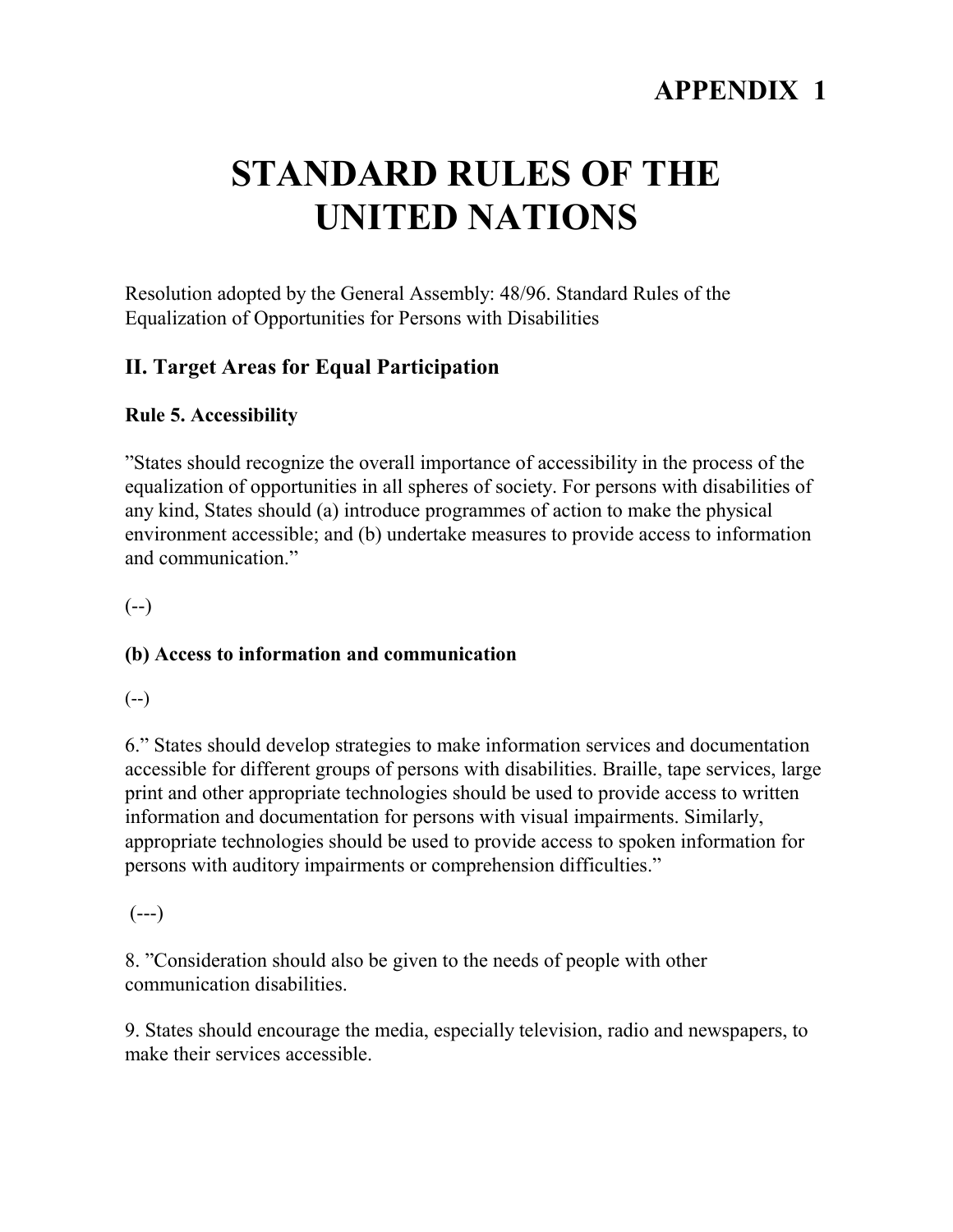## **APPENDIX 1**

# **STANDARD RULES OF THE UNITED NATIONS**

Resolution adopted by the General Assembly: 48/96. Standard Rules of the Equalization of Opportunities for Persons with Disabilities

#### **II. Target Areas for Equal Participation**

#### **Rule 5. Accessibility**

"States should recognize the overall importance of accessibility in the process of the equalization of opportunities in all spheres of society. For persons with disabilities of any kind, States should (a) introduce programmes of action to make the physical environment accessible; and (b) undertake measures to provide access to information and communication."

 $(--)$ 

#### **(b) Access to information and communication**

 $(--)$ 

6." States should develop strategies to make information services and documentation accessible for different groups of persons with disabilities. Braille, tape services, large print and other appropriate technologies should be used to provide access to written information and documentation for persons with visual impairments. Similarly, appropriate technologies should be used to provide access to spoken information for persons with auditory impairments or comprehension difficulties."

 $(- - )$ 

8. "Consideration should also be given to the needs of people with other communication disabilities.

9. States should encourage the media, especially television, radio and newspapers, to make their services accessible.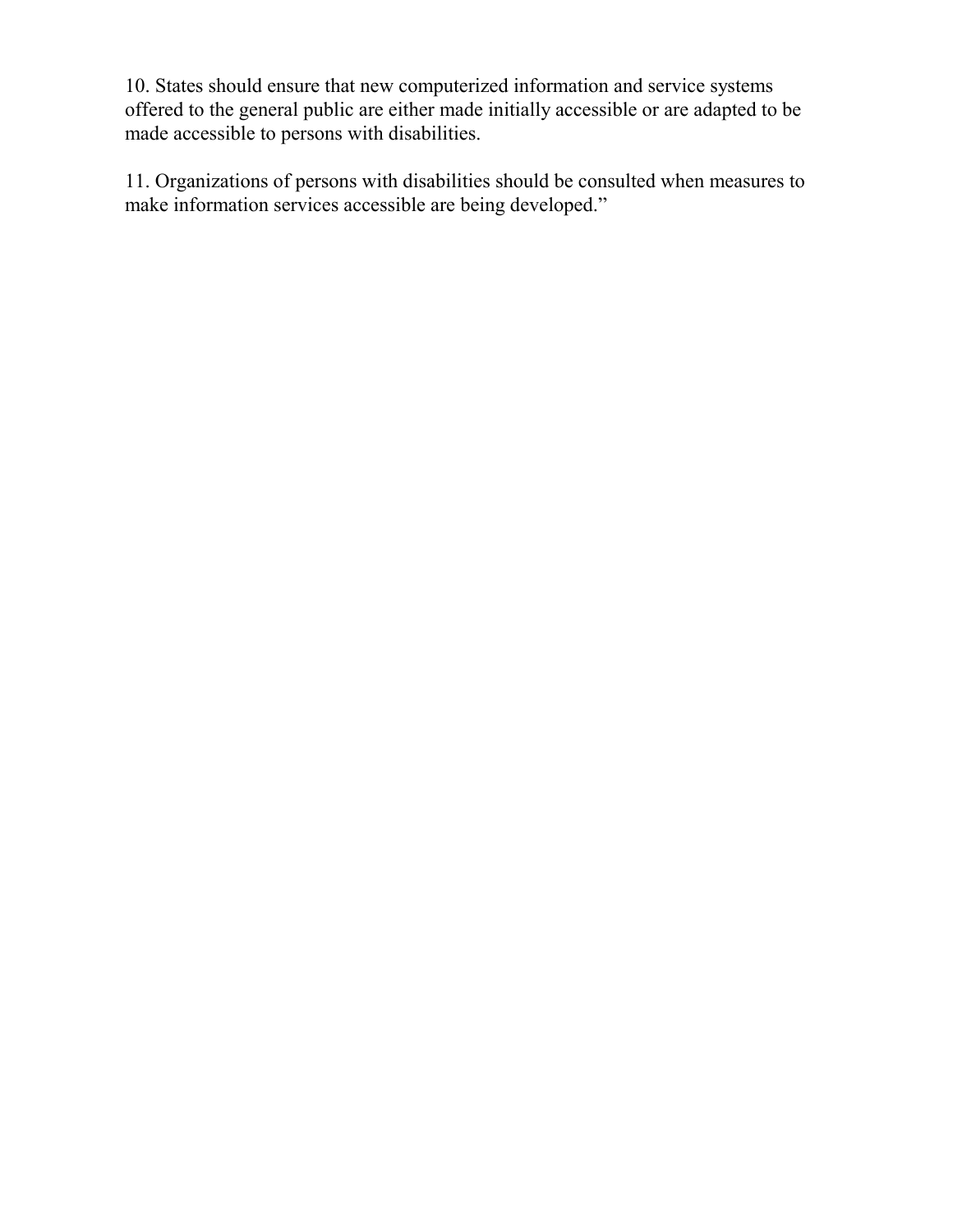10. States should ensure that new computerized information and service systems offered to the general public are either made initially accessible or are adapted to be made accessible to persons with disabilities.

11. Organizations of persons with disabilities should be consulted when measures to make information services accessible are being developed."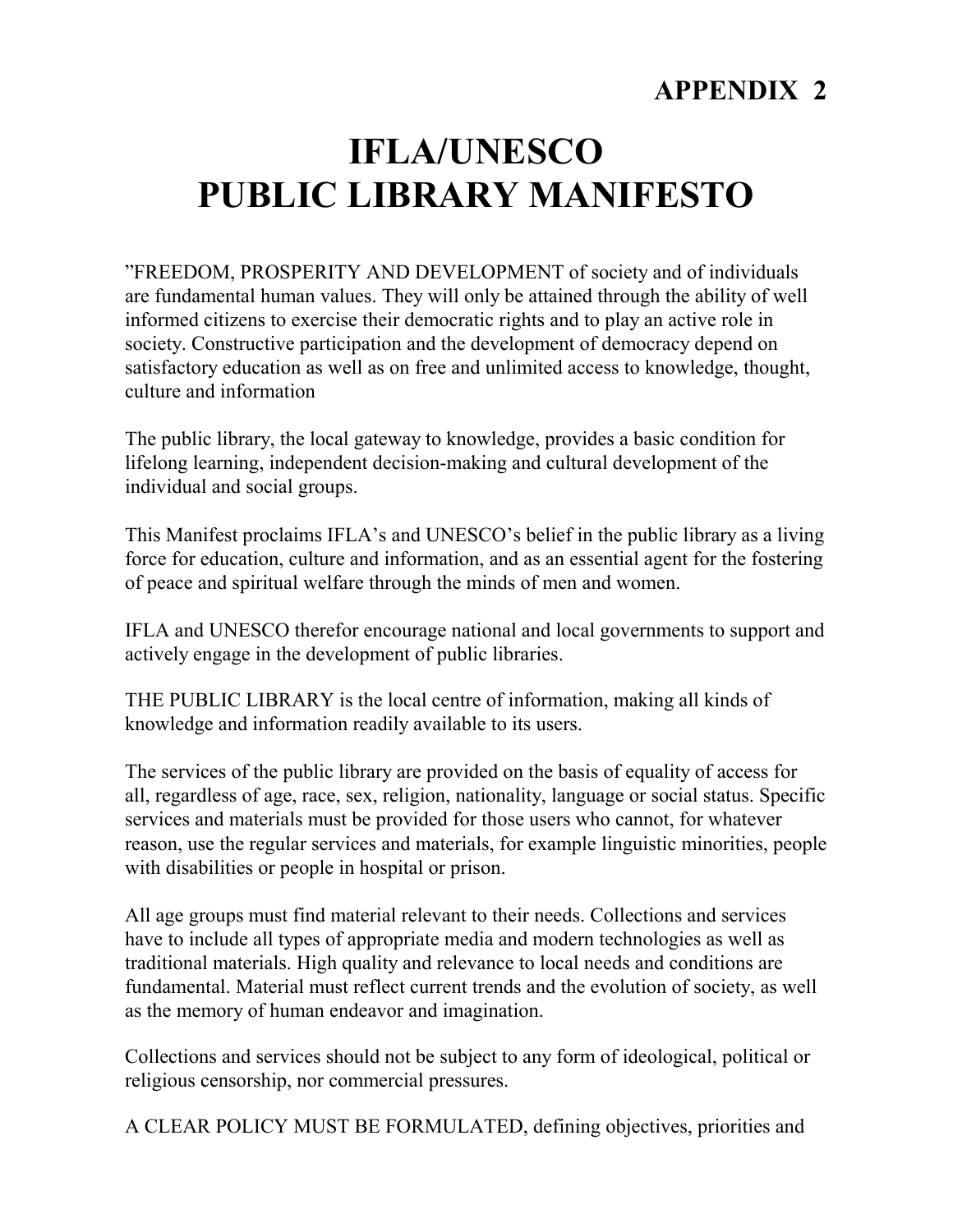## **APPENDIX 2**

# **IFLA/UNESCO PUBLIC LIBRARY MANIFESTO**

"FREEDOM, PROSPERITY AND DEVELOPMENT of society and of individuals are fundamental human values. They will only be attained through the ability of well informed citizens to exercise their democratic rights and to play an active role in society. Constructive participation and the development of democracy depend on satisfactory education as well as on free and unlimited access to knowledge, thought, culture and information

The public library, the local gateway to knowledge, provides a basic condition for lifelong learning, independent decision-making and cultural development of the individual and social groups.

This Manifest proclaims IFLA's and UNESCO's belief in the public library as a living force for education, culture and information, and as an essential agent for the fostering of peace and spiritual welfare through the minds of men and women.

IFLA and UNESCO therefor encourage national and local governments to support and actively engage in the development of public libraries.

THE PUBLIC LIBRARY is the local centre of information, making all kinds of knowledge and information readily available to its users.

The services of the public library are provided on the basis of equality of access for all, regardless of age, race, sex, religion, nationality, language or social status. Specific services and materials must be provided for those users who cannot, for whatever reason, use the regular services and materials, for example linguistic minorities, people with disabilities or people in hospital or prison.

All age groups must find material relevant to their needs. Collections and services have to include all types of appropriate media and modern technologies as well as traditional materials. High quality and relevance to local needs and conditions are fundamental. Material must reflect current trends and the evolution of society, as well as the memory of human endeavor and imagination.

Collections and services should not be subject to any form of ideological, political or religious censorship, nor commercial pressures.

A CLEAR POLICY MUST BE FORMULATED, defining objectives, priorities and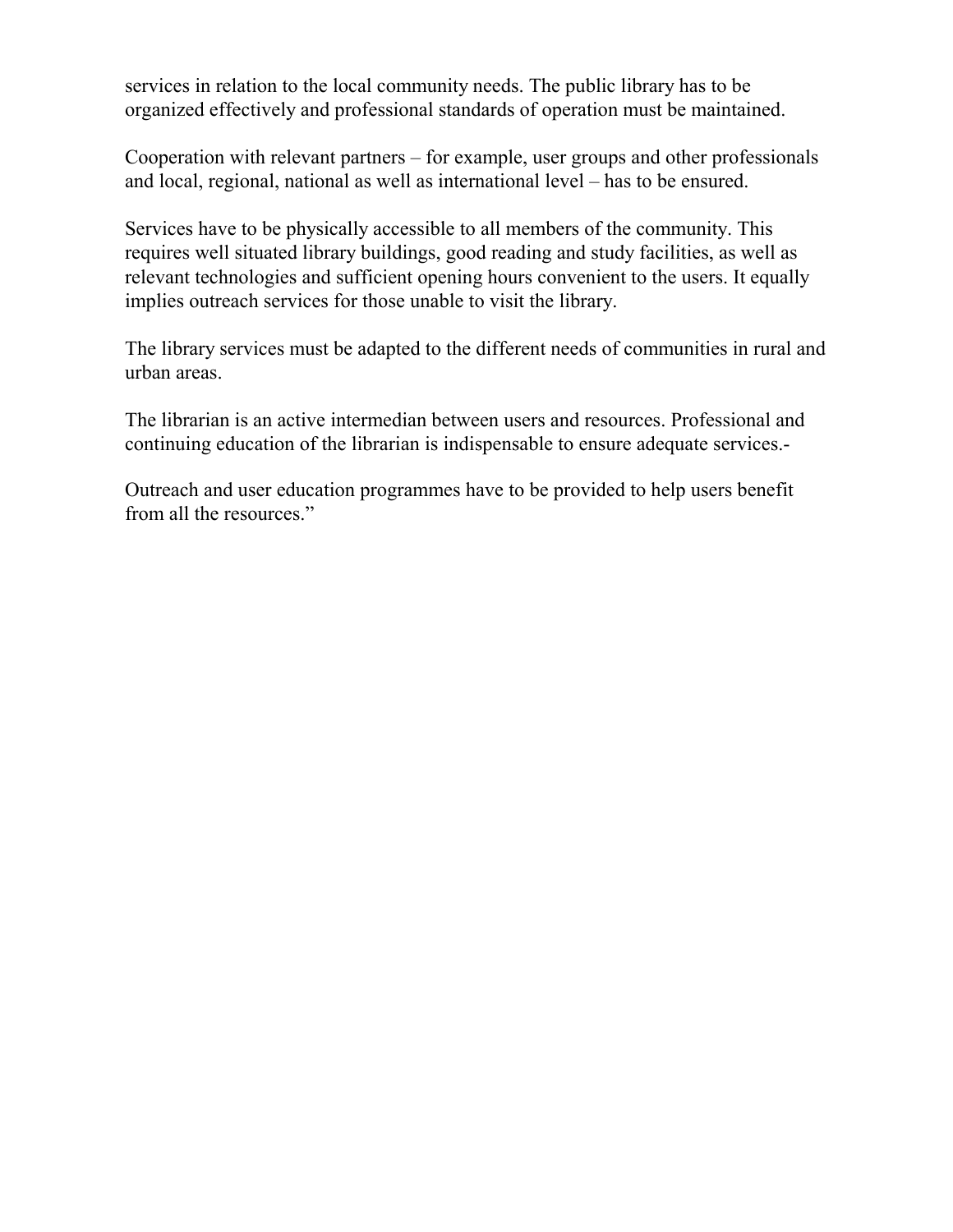services in relation to the local community needs. The public library has to be organized effectively and professional standards of operation must be maintained.

Cooperation with relevant partners – for example, user groups and other professionals and local, regional, national as well as international level – has to be ensured.

Services have to be physically accessible to all members of the community. This requires well situated library buildings, good reading and study facilities, as well as relevant technologies and sufficient opening hours convenient to the users. It equally implies outreach services for those unable to visit the library.

The library services must be adapted to the different needs of communities in rural and urban areas.

The librarian is an active intermedian between users and resources. Professional and continuing education of the librarian is indispensable to ensure adequate services.

Outreach and user education programmes have to be provided to help users benefit from all the resources."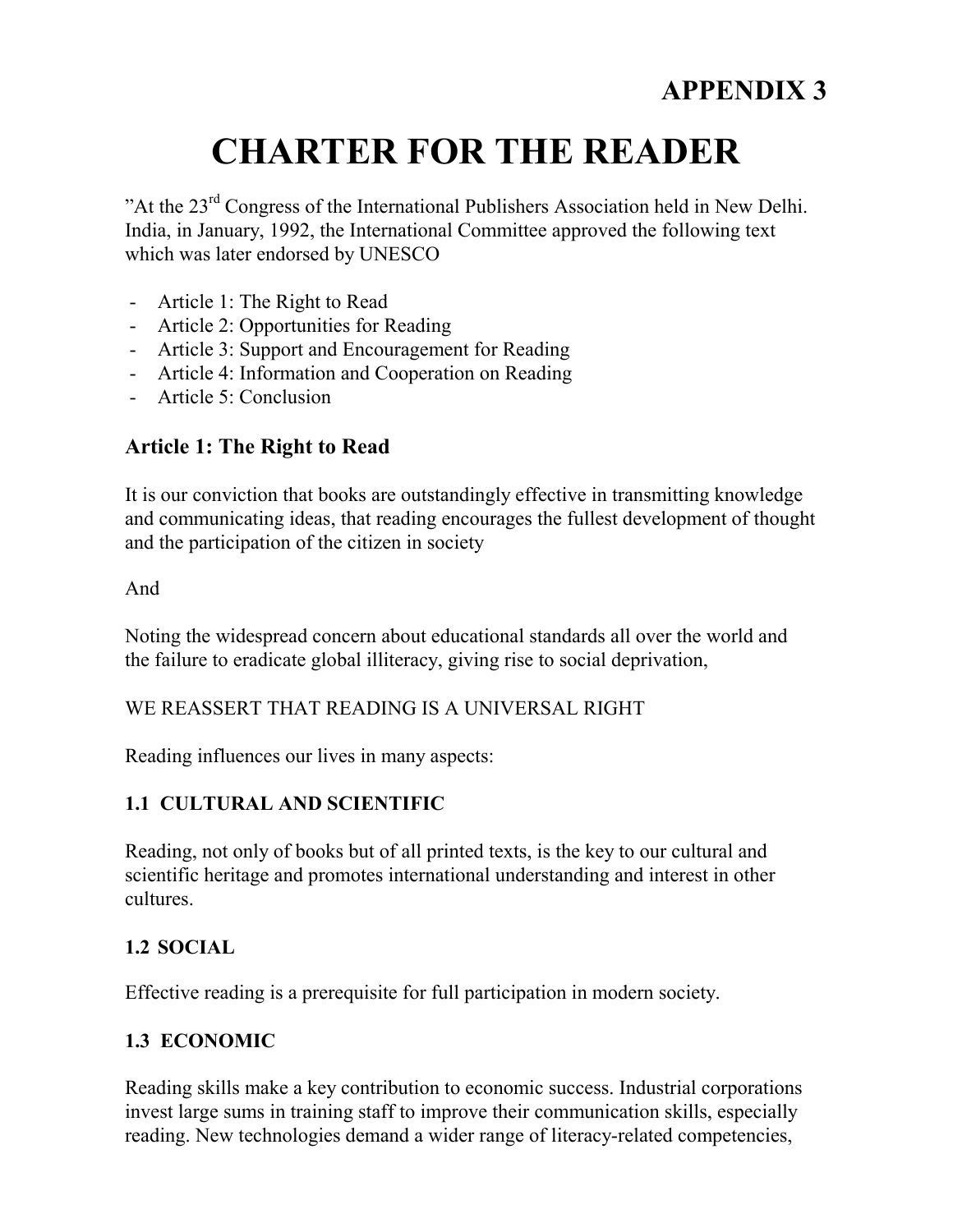# **CHARTER FOR THE READER**

"At the 23rd Congress of the International Publishers Association held in New Delhi. India, in January, 1992, the International Committee approved the following text which was later endorsed by UNESCO

- Article 1: The Right to Read
- Article 2: Opportunities for Reading
- Article 3: Support and Encouragement for Reading
- Article 4: Information and Cooperation on Reading
- Article 5: Conclusion

### **Article 1: The Right to Read**

It is our conviction that books are outstandingly effective in transmitting knowledge and communicating ideas, that reading encourages the fullest development of thought and the participation of the citizen in society

#### And

Noting the widespread concern about educational standards all over the world and the failure to eradicate global illiteracy, giving rise to social deprivation,

#### WE REASSERT THAT READING IS A UNIVERSAL RIGHT

Reading influences our lives in many aspects:

### **1.1 CULTURAL AND SCIENTIFIC**

Reading, not only of books but of all printed texts, is the key to our cultural and scientific heritage and promotes international understanding and interest in other cultures.

#### **1.2 SOCIAL**

Effective reading is a prerequisite for full participation in modern society.

#### **1.3 ECONOMIC**

Reading skills make a key contribution to economic success. Industrial corporations invest large sums in training staff to improve their communication skills, especially reading. New technologies demand a wider range of literacy-related competencies,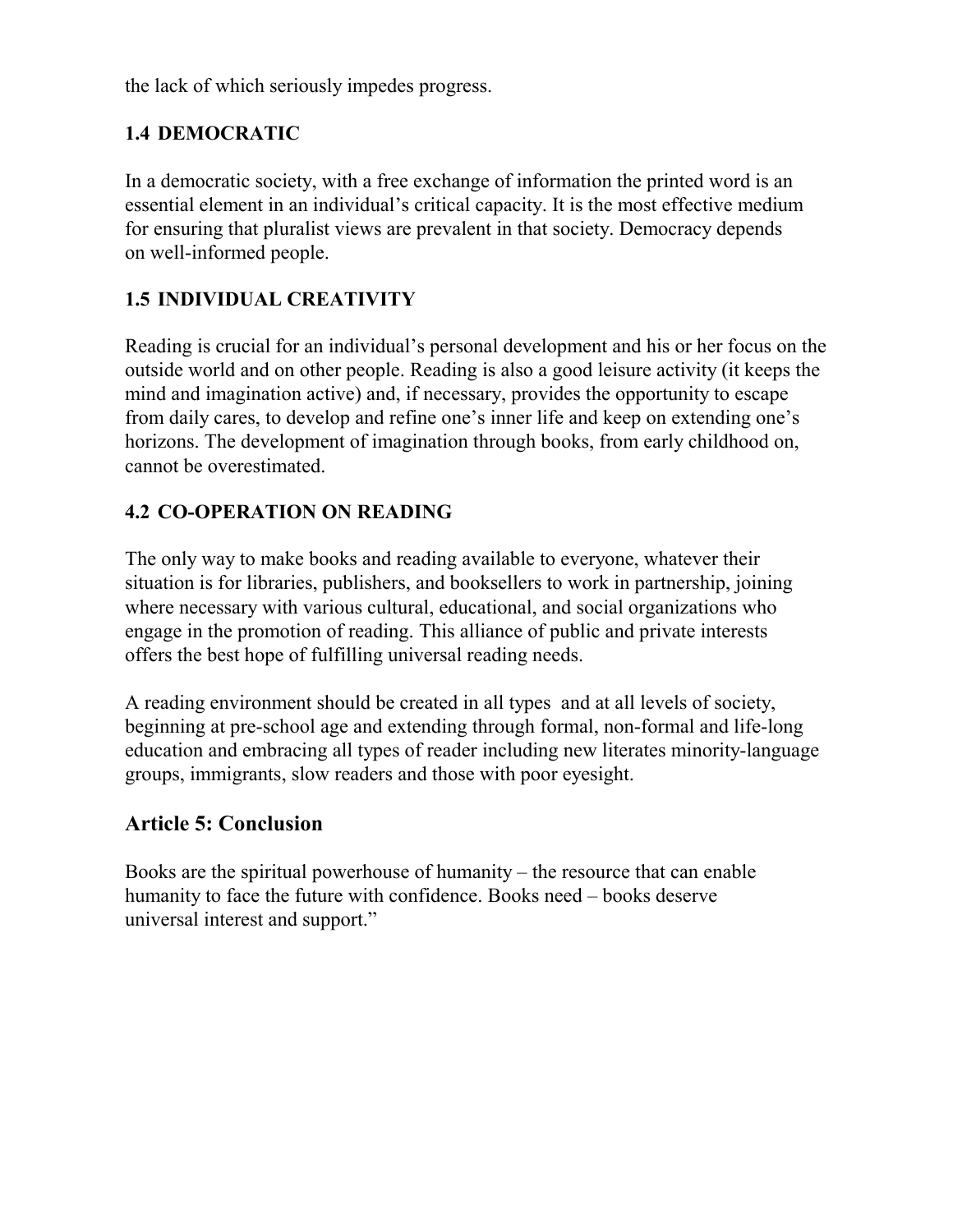the lack of which seriously impedes progress.

### **1.4 DEMOCRATIC**

In a democratic society, with a free exchange of information the printed word is an essential element in an individual's critical capacity. It is the most effective medium for ensuring that pluralist views are prevalent in that society. Democracy depends on well-informed people.

### **1.5 INDIVIDUAL CREATIVITY**

Reading is crucial for an individual's personal development and his or her focus on the outside world and on other people. Reading is also a good leisure activity (it keeps the mind and imagination active) and, if necessary, provides the opportunity to escape from daily cares, to develop and refine one's inner life and keep on extending one's horizons. The development of imagination through books, from early childhood on, cannot be overestimated.

### **4.2 CO-OPERATION ON READING**

The only way to make books and reading available to everyone, whatever their situation is for libraries, publishers, and booksellers to work in partnership, joining where necessary with various cultural, educational, and social organizations who engage in the promotion of reading. This alliance of public and private interests offers the best hope of fulfilling universal reading needs.

A reading environment should be created in all types and at all levels of society, beginning at pre-school age and extending through formal, non-formal and life-long education and embracing all types of reader including new literates minority-language groups, immigrants, slow readers and those with poor eyesight.

### **Article 5: Conclusion**

Books are the spiritual powerhouse of humanity – the resource that can enable humanity to face the future with confidence. Books need – books deserve universal interest and support."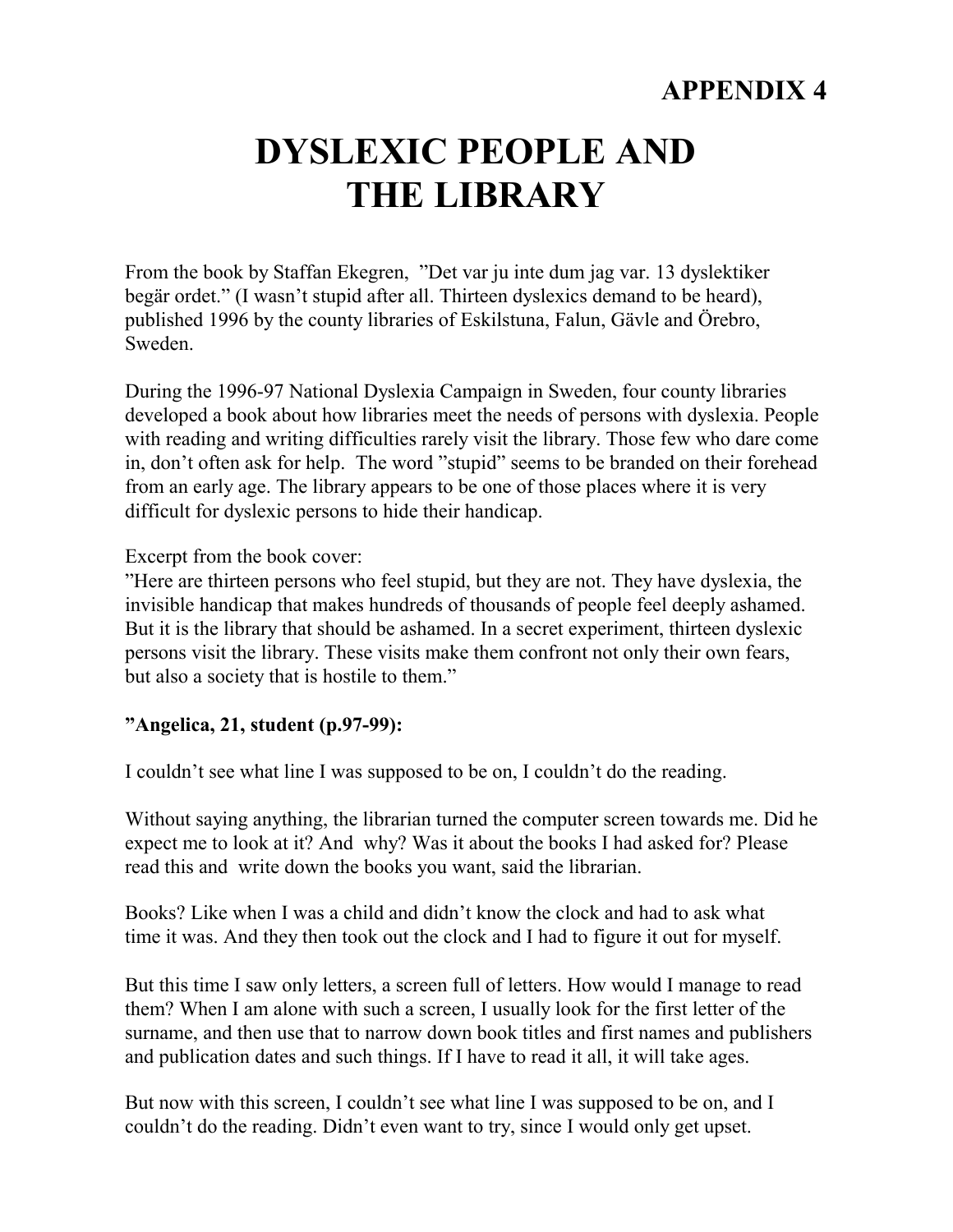## **APPENDIX 4**

# **DYSLEXIC PEOPLE AND THE LIBRARY**

From the book by Staffan Ekegren, "Det var ju inte dum jag var. 13 dyslektiker begär ordet." (I wasn't stupid after all. Thirteen dyslexics demand to be heard), published 1996 by the county libraries of Eskilstuna, Falun, Gävle and Örebro, Sweden.

During the 1996-97 National Dyslexia Campaign in Sweden, four county libraries developed a book about how libraries meet the needs of persons with dyslexia. People with reading and writing difficulties rarely visit the library. Those few who dare come in, don't often ask for help. The word "stupid" seems to be branded on their forehead from an early age. The library appears to be one of those places where it is very difficult for dyslexic persons to hide their handicap.

Excerpt from the book cover:

"Here are thirteen persons who feel stupid, but they are not. They have dyslexia, the invisible handicap that makes hundreds of thousands of people feel deeply ashamed. But it is the library that should be ashamed. In a secret experiment, thirteen dyslexic persons visit the library. These visits make them confront not only their own fears, but also a society that is hostile to them."

#### **"Angelica, 21, student (p.97-99):**

I couldn't see what line I was supposed to be on, I couldn't do the reading.

Without saying anything, the librarian turned the computer screen towards me. Did he expect me to look at it? And why? Was it about the books I had asked for? Please read this and write down the books you want, said the librarian.

Books? Like when I was a child and didn't know the clock and had to ask what time it was. And they then took out the clock and I had to figure it out for myself.

But this time I saw only letters, a screen full of letters. How would I manage to read them? When I am alone with such a screen, I usually look for the first letter of the surname, and then use that to narrow down book titles and first names and publishers and publication dates and such things. If I have to read it all, it will take ages.

But now with this screen, I couldn't see what line I was supposed to be on, and I couldn't do the reading. Didn't even want to try, since I would only get upset.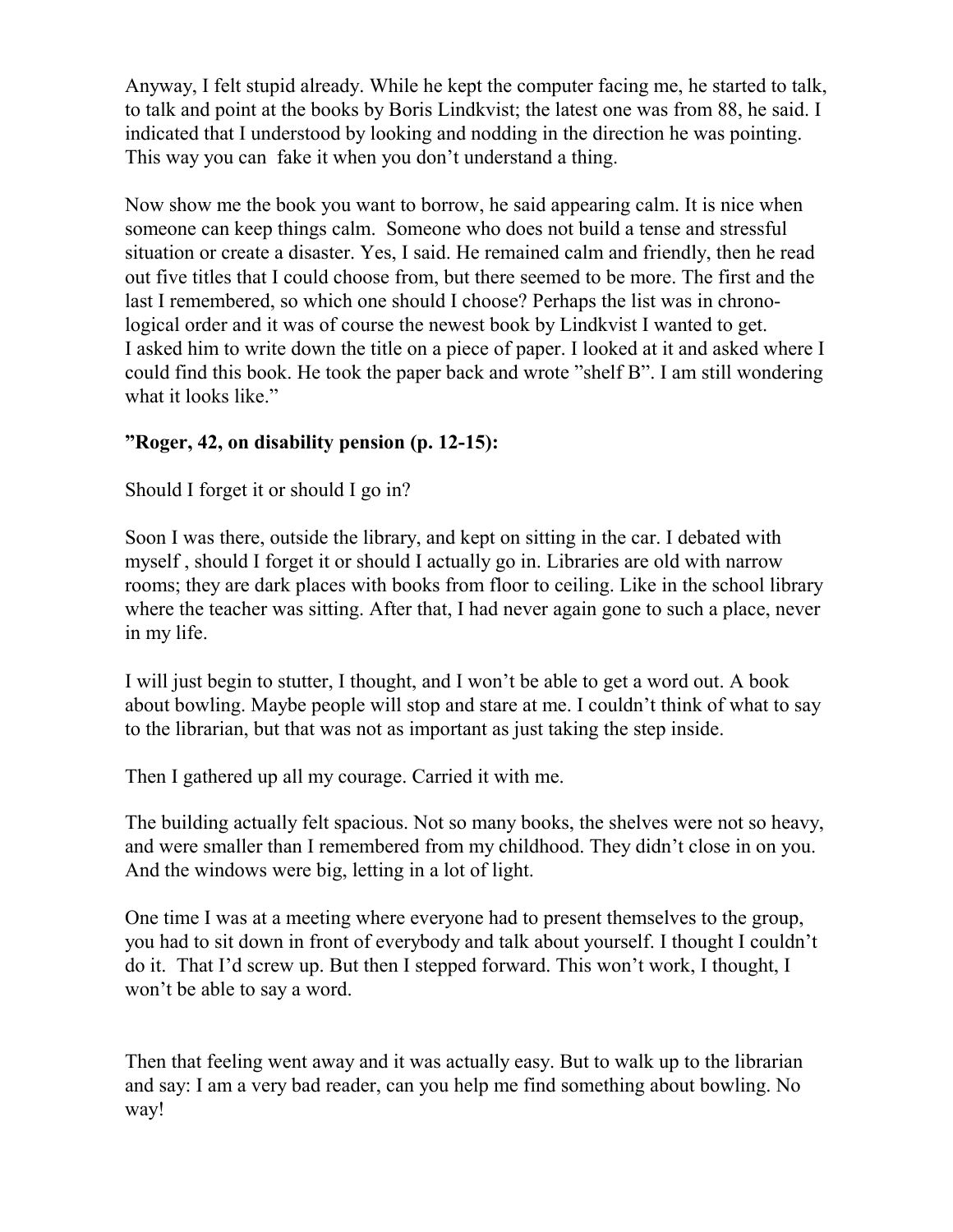Anyway, I felt stupid already. While he kept the computer facing me, he started to talk, to talk and point at the books by Boris Lindkvist; the latest one was from 88, he said. I indicated that I understood by looking and nodding in the direction he was pointing. This way you can fake it when you don't understand a thing.

Now show me the book you want to borrow, he said appearing calm. It is nice when someone can keep things calm. Someone who does not build a tense and stressful situation or create a disaster. Yes, I said. He remained calm and friendly, then he read out five titles that I could choose from, but there seemed to be more. The first and the last I remembered, so which one should I choose? Perhaps the list was in chronological order and it was of course the newest book by Lindkvist I wanted to get. I asked him to write down the title on a piece of paper. I looked at it and asked where I could find this book. He took the paper back and wrote "shelf B". I am still wondering what it looks like."

### **"Roger, 42, on disability pension (p. 12-15):**

Should I forget it or should I go in?

Soon I was there, outside the library, and kept on sitting in the car. I debated with myself , should I forget it or should I actually go in. Libraries are old with narrow rooms; they are dark places with books from floor to ceiling. Like in the school library where the teacher was sitting. After that, I had never again gone to such a place, never in my life.

I will just begin to stutter, I thought, and I won't be able to get a word out. A book about bowling. Maybe people will stop and stare at me. I couldn't think of what to say to the librarian, but that was not as important as just taking the step inside.

Then I gathered up all my courage. Carried it with me.

The building actually felt spacious. Not so many books, the shelves were not so heavy, and were smaller than I remembered from my childhood. They didn't close in on you. And the windows were big, letting in a lot of light.

One time I was at a meeting where everyone had to present themselves to the group, you had to sit down in front of everybody and talk about yourself. I thought I couldn't do it. That I'd screw up. But then I stepped forward. This won't work, I thought, I won't be able to say a word.

Then that feeling went away and it was actually easy. But to walk up to the librarian and say: I am a very bad reader, can you help me find something about bowling. No way!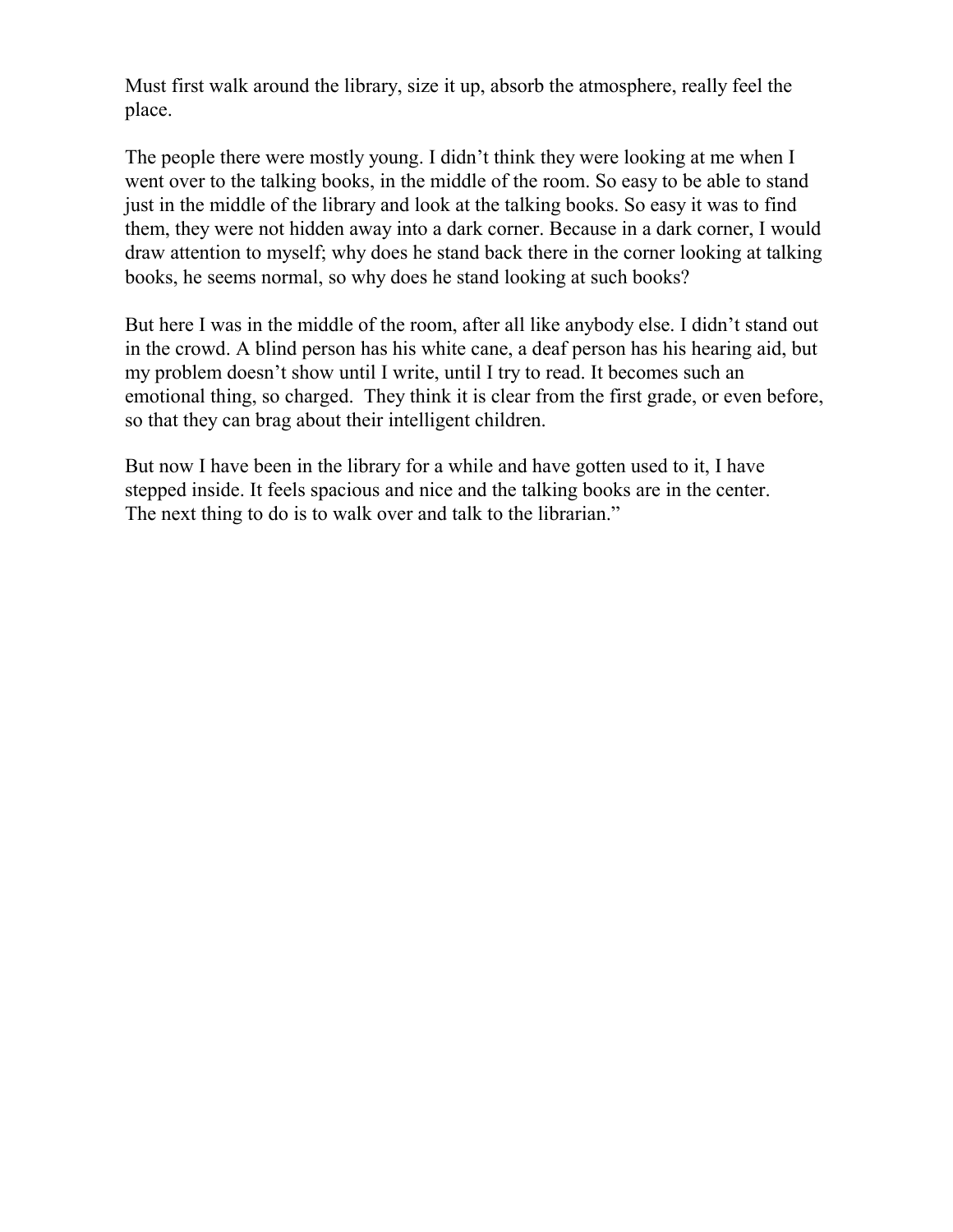Must first walk around the library, size it up, absorb the atmosphere, really feel the place.

The people there were mostly young. I didn't think they were looking at me when I went over to the talking books, in the middle of the room. So easy to be able to stand just in the middle of the library and look at the talking books. So easy it was to find them, they were not hidden away into a dark corner. Because in a dark corner, I would draw attention to myself; why does he stand back there in the corner looking at talking books, he seems normal, so why does he stand looking at such books?

But here I was in the middle of the room, after all like anybody else. I didn't stand out in the crowd. A blind person has his white cane, a deaf person has his hearing aid, but my problem doesn't show until I write, until I try to read. It becomes such an emotional thing, so charged. They think it is clear from the first grade, or even before, so that they can brag about their intelligent children.

But now I have been in the library for a while and have gotten used to it, I have stepped inside. It feels spacious and nice and the talking books are in the center. The next thing to do is to walk over and talk to the librarian."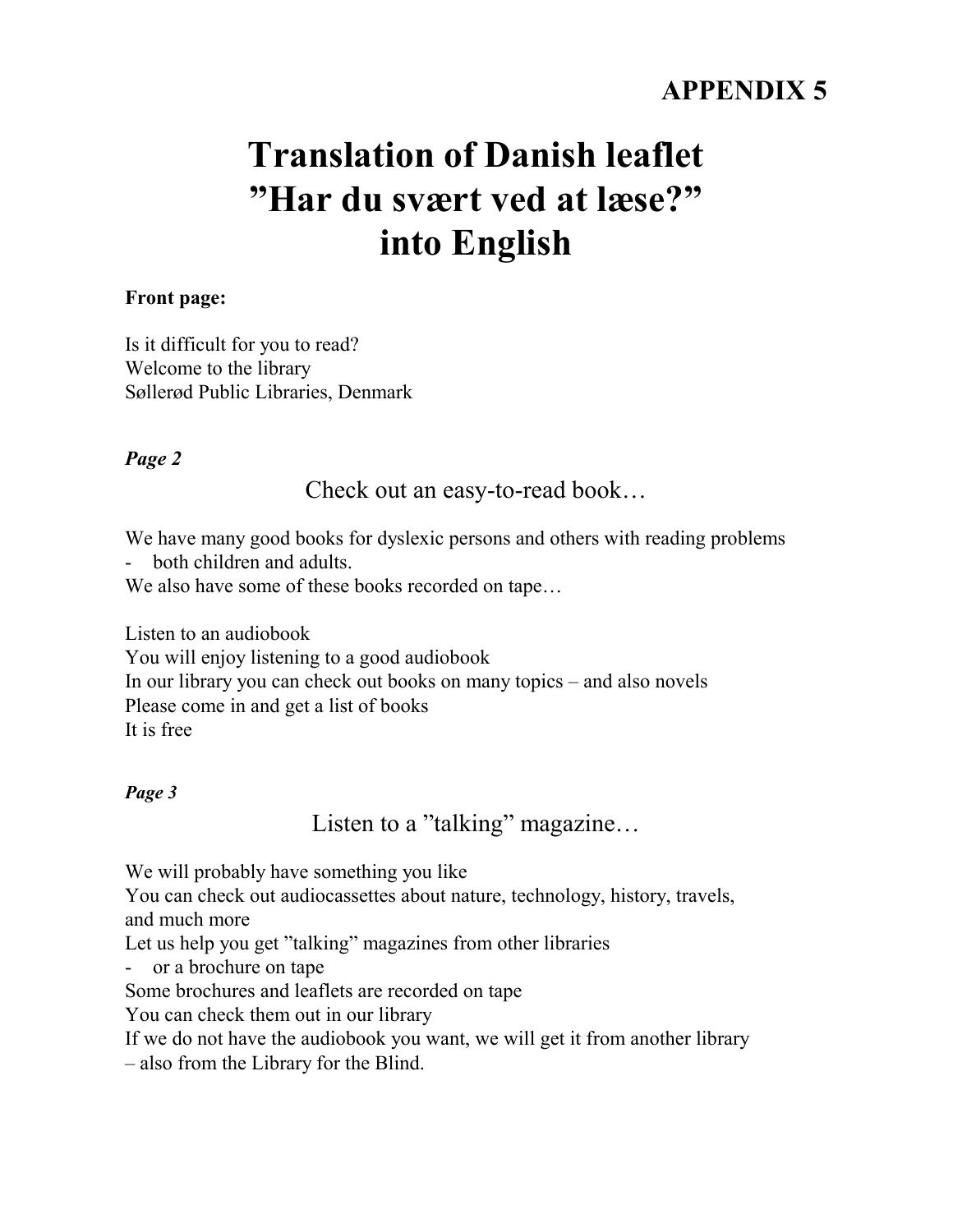## **APPENDIX 5**

# **Translation of Danish leaflet "Har du svært ved at læse?" into English**

#### **Front page:**

Is it difficult for you to read? Welcome to the library Søllerød Public Libraries, Denmark

#### *Page 2*

Check out an easy-to-read book…

We have many good books for dyslexic persons and others with reading problems - both children and adults.

We also have some of these books recorded on tape…

Listen to an audiobook You will enjoy listening to a good audiobook In our library you can check out books on many topics – and also novels Please come in and get a list of books It is free

#### *Page 3*

Listen to a "talking" magazine...

We will probably have something you like

You can check out audiocassettes about nature, technology, history, travels, and much more

Let us help you get "talking" magazines from other libraries

- or a brochure on tape

Some brochures and leaflets are recorded on tape

You can check them out in our library

If we do not have the audiobook you want, we will get it from another library

– also from the Library for the Blind.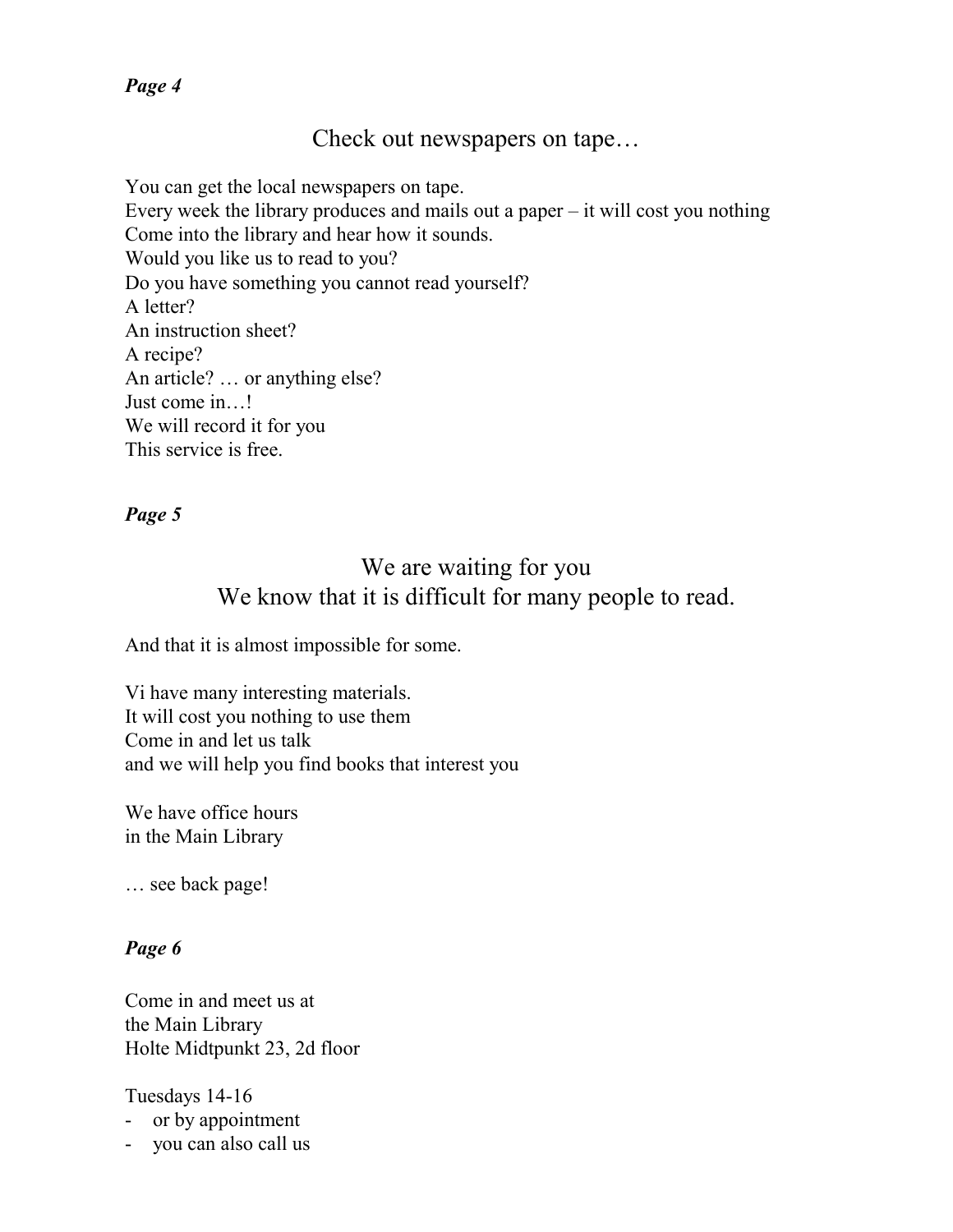### Check out newspapers on tape…

You can get the local newspapers on tape. Every week the library produces and mails out a paper – it will cost you nothing Come into the library and hear how it sounds. Would you like us to read to you? Do you have something you cannot read yourself? A letter? An instruction sheet? A recipe? An article? … or anything else? Just come in…! We will record it for you This service is free.

#### *Page 5*

### We are waiting for you We know that it is difficult for many people to read.

And that it is almost impossible for some.

Vi have many interesting materials. It will cost you nothing to use them Come in and let us talk and we will help you find books that interest you

We have office hours in the Main Library

… see back page!

#### *Page 6*

Come in and meet us at the Main Library Holte Midtpunkt 23, 2d floor

Tuesdays 14-16

- or by appointment
- you can also call us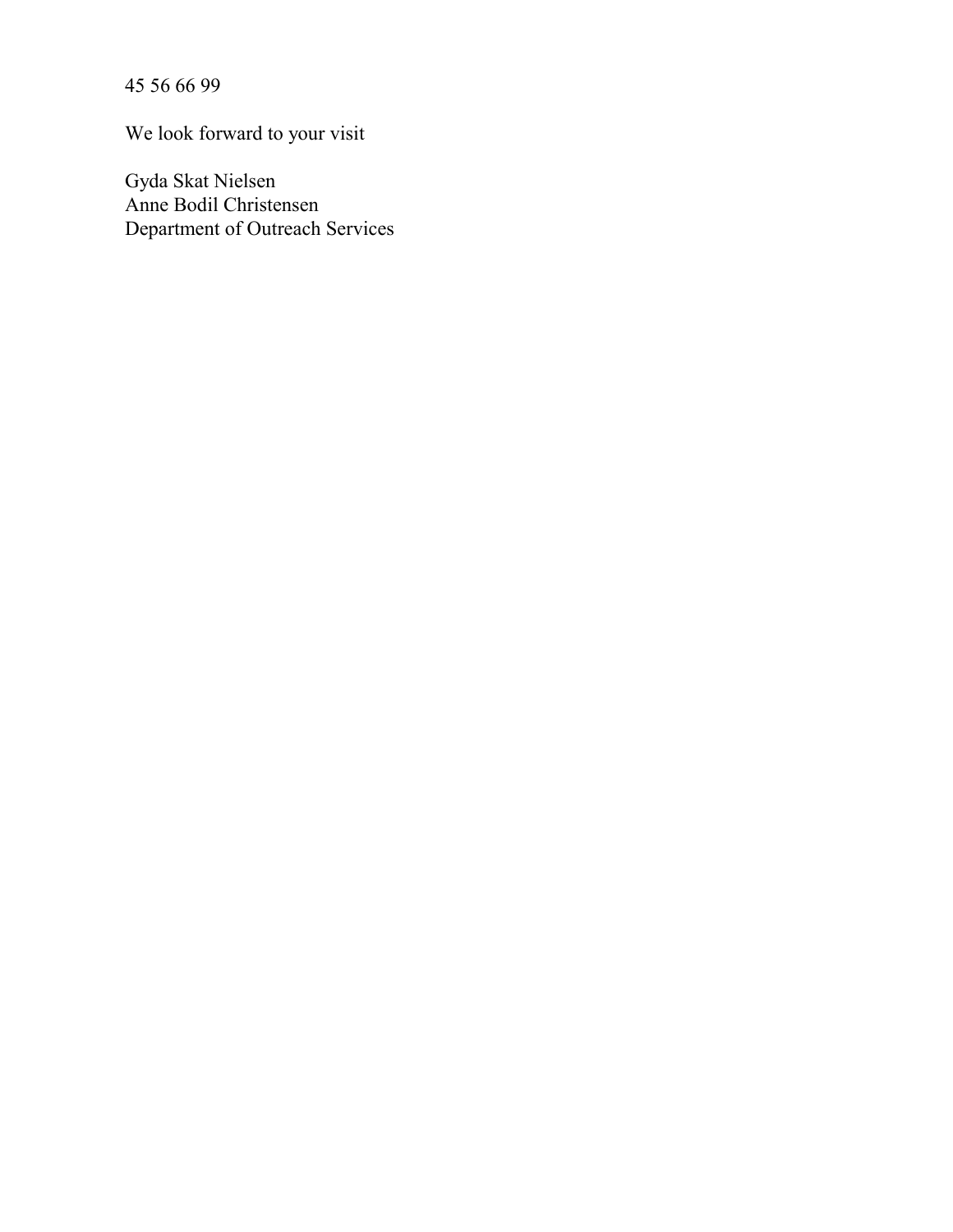45 56 66 99

We look forward to your visit

Gyda Skat Nielsen Anne Bodil Christensen Department of Outreach Services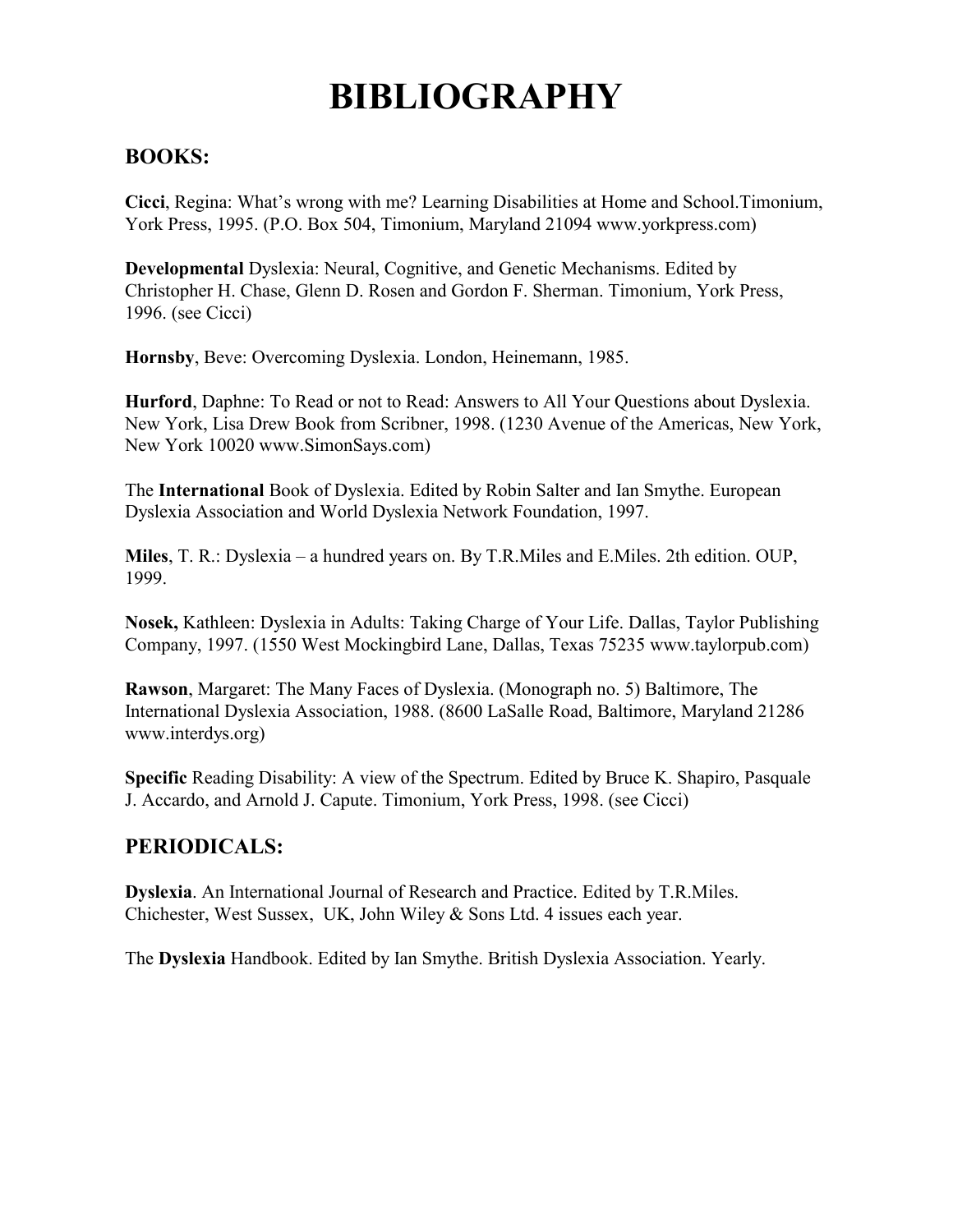# **BIBLIOGRAPHY**

### **BOOKS:**

**Cicci**, Regina: What's wrong with me? Learning Disabilities at Home and School.Timonium, York Press, 1995. (P.O. Box 504, Timonium, Maryland 21094 [www.yorkpress.com\)](http://www.yorkpress.com)

**Developmental** Dyslexia: Neural, Cognitive, and Genetic Mechanisms. Edited by Christopher H. Chase, Glenn D. Rosen and Gordon F. Sherman. Timonium, York Press, 1996. (see Cicci)

**Hornsby**, Beve: Overcoming Dyslexia. London, Heinemann, 1985.

**Hurford**, Daphne: To Read or not to Read: Answers to All Your Questions about Dyslexia. New York, Lisa Drew Book from Scribner, 1998. (1230 Avenue of the Americas, New York, New York 10020 [www.SimonSays.com\)](http://www.SimonSays.com) 

The **International** Book of Dyslexia. Edited by Robin Salter and Ian Smythe. European Dyslexia Association and World Dyslexia Network Foundation, 1997.

**Miles**, T. R.: Dyslexia – a hundred years on. By T.R.Miles and E.Miles. 2th edition. OUP, 1999.

**Nosek,** Kathleen: Dyslexia in Adults: Taking Charge of Your Life. Dallas, Taylor Publishing Company, 1997. (1550 West Mockingbird Lane, Dallas, Texas 75235 [www.taylorpub.com\)](http://www.taylorpub.com) 

**Rawson**, Margaret: The Many Faces of Dyslexia. (Monograph no. 5) Baltimore, The International Dyslexia Association, 1988. (8600 LaSalle Road, Baltimore, Maryland 21286 [www.interdys.org\)](http://www.interdys.org)

**Specific** Reading Disability: A view of the Spectrum. Edited by Bruce K. Shapiro, Pasquale J. Accardo, and Arnold J. Capute. Timonium, York Press, 1998. (see Cicci)

### **PERIODICALS:**

**Dyslexia**. An International Journal of Research and Practice. Edited by T.R.Miles. Chichester, West Sussex, UK, John Wiley & Sons Ltd. 4 issues each year.

The **Dyslexia** Handbook. Edited by Ian Smythe. British Dyslexia Association. Yearly.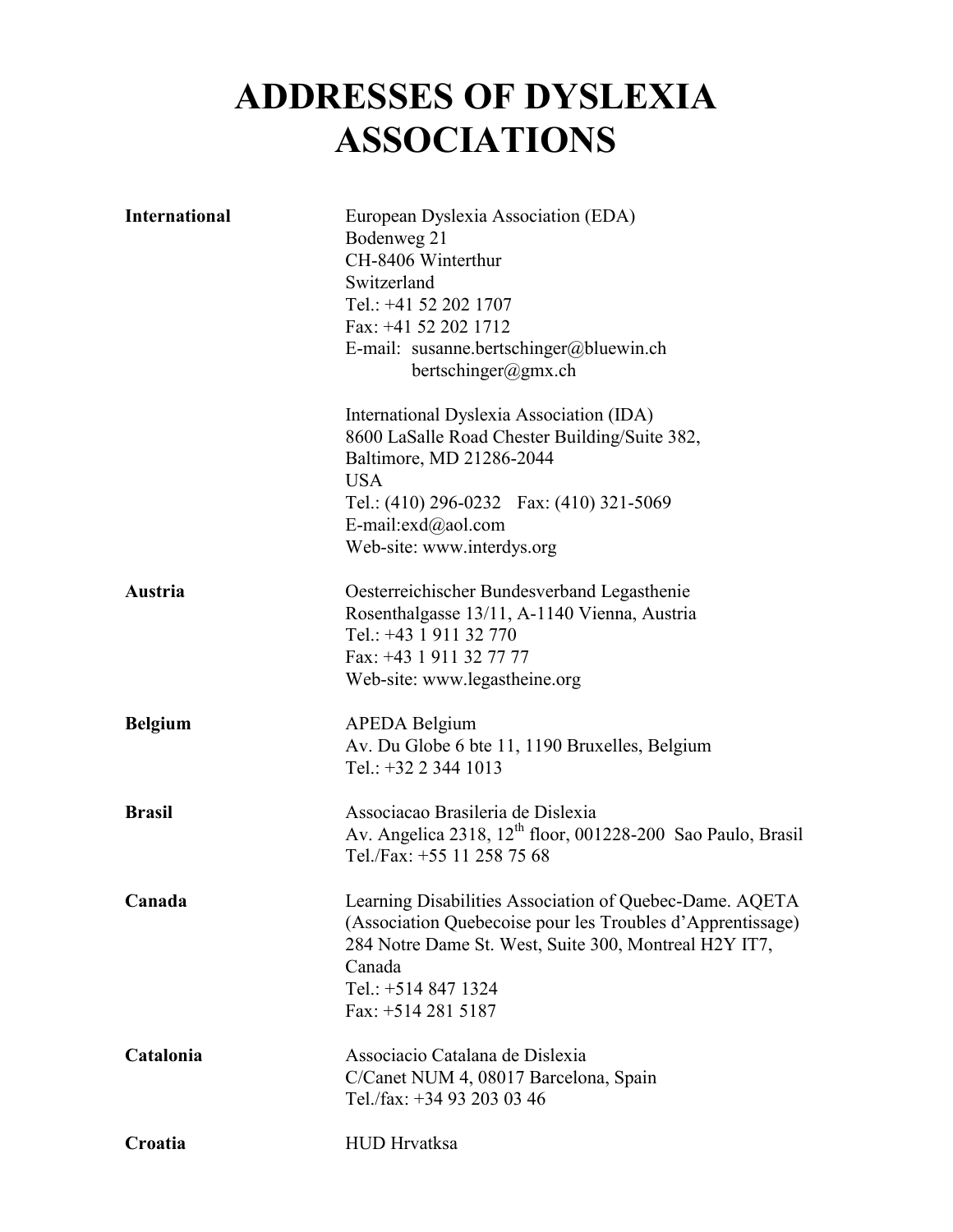# **ADDRESSES OF DYSLEXIA ASSOCIATIONS**

| <b>International</b> | European Dyslexia Association (EDA)<br>Bodenweg 21<br>CH-8406 Winterthur<br>Switzerland<br>Tel.: +41 52 202 1707<br>Fax: +41 52 202 1712<br>E-mail: susanne.bertschinger@bluewin.ch<br>bertschinger@gmx.ch                            |
|----------------------|---------------------------------------------------------------------------------------------------------------------------------------------------------------------------------------------------------------------------------------|
|                      | International Dyslexia Association (IDA)<br>8600 LaSalle Road Chester Building/Suite 382,<br>Baltimore, MD 21286-2044<br><b>USA</b><br>Tel.: (410) 296-0232  Fax: (410) 321-5069<br>E-mail:exd@aol.com<br>Web-site: www.interdys.org  |
| Austria              | Oesterreichischer Bundesverband Legasthenie<br>Rosenthalgasse 13/11, A-1140 Vienna, Austria<br>Tel.: +43 1 911 32 770<br>Fax: +43 1 911 32 77 77<br>Web-site: www.legastheine.org                                                     |
| <b>Belgium</b>       | <b>APEDA Belgium</b><br>Av. Du Globe 6 bte 11, 1190 Bruxelles, Belgium<br>Tel.: +32 2 344 1013                                                                                                                                        |
| <b>Brasil</b>        | Associacao Brasileria de Dislexia<br>Av. Angelica 2318, 12 <sup>th</sup> floor, 001228-200 Sao Paulo, Brasil<br>Tel./Fax: +55 11 258 75 68                                                                                            |
| Canada               | Learning Disabilities Association of Quebec-Dame. AQETA<br>(Association Quebecoise pour les Troubles d'Apprentissage)<br>284 Notre Dame St. West, Suite 300, Montreal H2Y IT7,<br>Canada<br>Tel.: +514 847 1324<br>Fax: $+5142815187$ |
| Catalonia            | Associacio Catalana de Dislexia<br>C/Canet NUM 4, 08017 Barcelona, Spain<br>Tel./fax: +34 93 203 03 46                                                                                                                                |
| Croatia              | <b>HUD Hrvatksa</b>                                                                                                                                                                                                                   |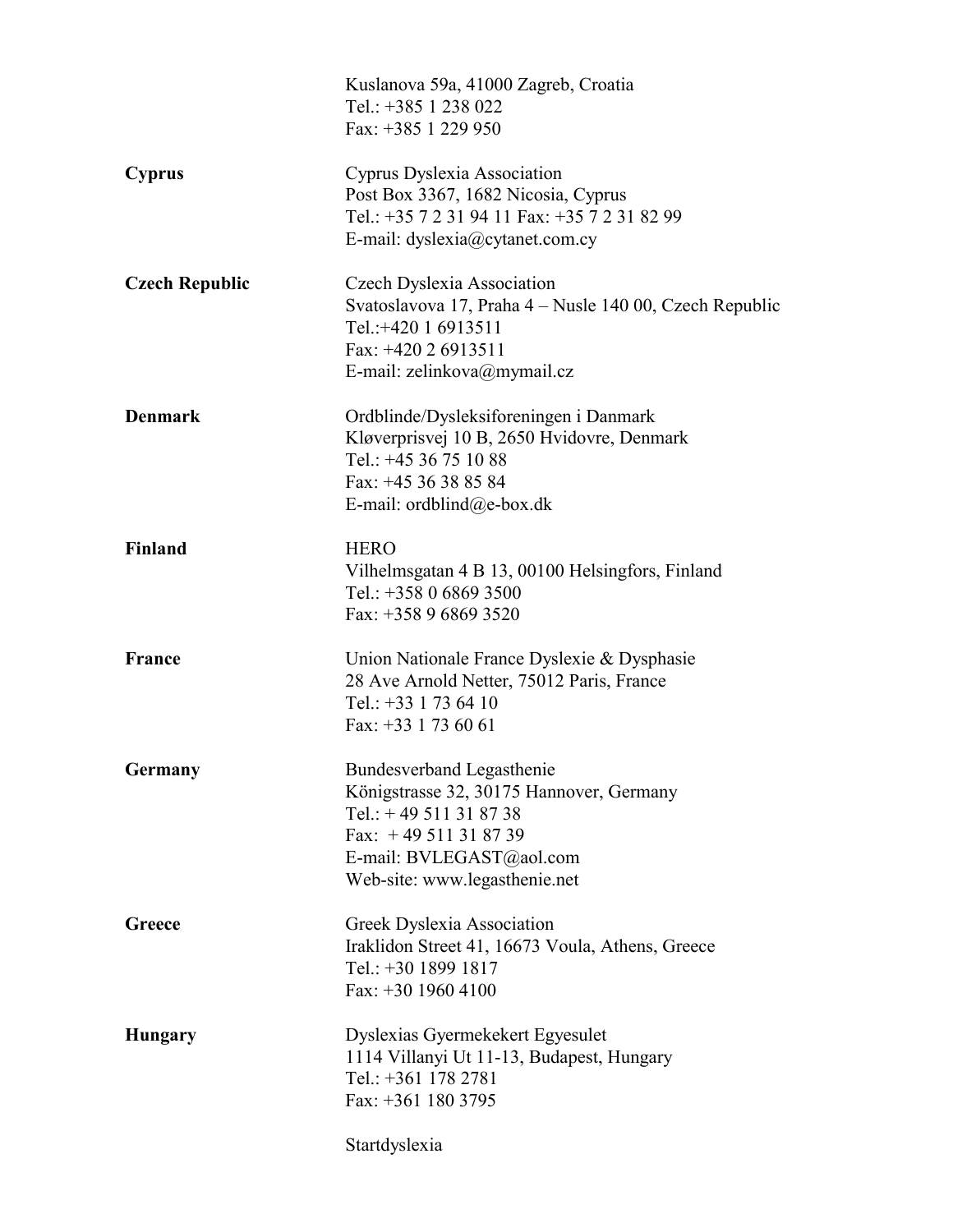|                       | Kuslanova 59a, 41000 Zagreb, Croatia<br>Tel.: +385 1 238 022<br>Fax: +385 1 229 950                                                                                                      |
|-----------------------|------------------------------------------------------------------------------------------------------------------------------------------------------------------------------------------|
| <b>Cyprus</b>         | Cyprus Dyslexia Association<br>Post Box 3367, 1682 Nicosia, Cyprus<br>Tel.: +35 7 2 31 94 11 Fax: +35 7 2 31 82 99<br>E-mail: dyslexia@cytanet.com.cy                                    |
| <b>Czech Republic</b> | Czech Dyslexia Association<br>Svatoslavova 17, Praha 4 – Nusle 140 00, Czech Republic<br>Tel.: +420 1 6913511<br>Fax: +420 2 6913511<br>E-mail: zelinkova@mymail.cz                      |
| <b>Denmark</b>        | Ordblinde/Dysleksiforeningen i Danmark<br>Kløverprisvej 10 B, 2650 Hvidovre, Denmark<br>Tel.: $+4536751088$<br>Fax: +45 36 38 85 84<br>E-mail: ordblind@e-box.dk                         |
| Finland               | <b>HERO</b><br>Vilhelmsgatan 4 B 13, 00100 Helsingfors, Finland<br>Tel.: +358 0 6869 3500<br>Fax: +358 9 6869 3520                                                                       |
| <b>France</b>         | Union Nationale France Dyslexie & Dysphasie<br>28 Ave Arnold Netter, 75012 Paris, France<br>Tel.: $+33$ 1 73 64 10<br>Fax: $+33$ 1 73 60 61                                              |
| Germany               | <b>Bundesverband Legasthenie</b><br>Königstrasse 32, 30175 Hannover, Germany<br>Tel.: $+49511318738$<br>Fax: $+49511318739$<br>E-mail: BVLEGAST@aol.com<br>Web-site: www.legasthenie.net |
| Greece                | Greek Dyslexia Association<br>Iraklidon Street 41, 16673 Voula, Athens, Greece<br>Tel.: +30 1899 1817<br>Fax: $+30$ 1960 4100                                                            |
| <b>Hungary</b>        | Dyslexias Gyermekekert Egyesulet<br>1114 Villanyi Ut 11-13, Budapest, Hungary<br>Tel.: +361 178 2781<br>Fax: $+361$ 180 3795                                                             |
|                       | Startdyslexia                                                                                                                                                                            |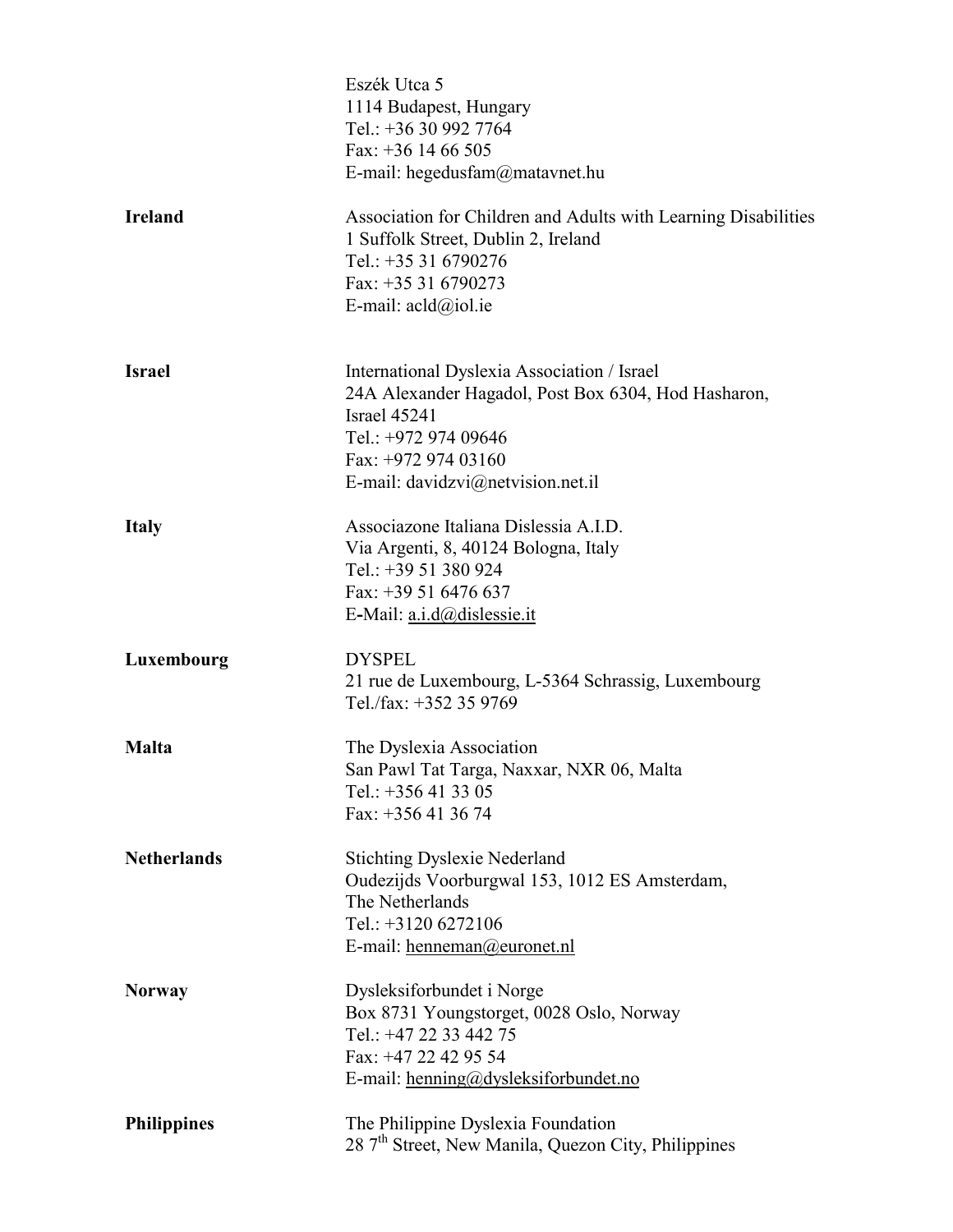|                    | Eszék Utca 5<br>1114 Budapest, Hungary<br>Tel.: +36 30 992 7764<br>Fax: $+36$ 14 66 505<br>E-mail: hegedusfam@matavnet.hu                                                                                     |
|--------------------|---------------------------------------------------------------------------------------------------------------------------------------------------------------------------------------------------------------|
| <b>Ireland</b>     | Association for Children and Adults with Learning Disabilities<br>1 Suffolk Street, Dublin 2, Ireland<br>Tel.: +35 31 6790276<br>Fax: +35 31 6790273<br>E-mail: $\text{acld}(\widehat{a})$ iol.ie             |
| <b>Israel</b>      | International Dyslexia Association / Israel<br>24A Alexander Hagadol, Post Box 6304, Hod Hasharon,<br><b>Israel 45241</b><br>Tel.: +972 974 09646<br>Fax: +972 974 03160<br>E-mail: davidzvi@netvision.net.il |
| <b>Italy</b>       | Associazone Italiana Dislessia A.I.D.<br>Via Argenti, 8, 40124 Bologna, Italy<br>Tel.: +39 51 380 924<br>Fax: $+39516476637$<br>E-Mail: <u>a.i.d@dislessie.it</u>                                             |
| Luxembourg         | <b>DYSPEL</b><br>21 rue de Luxembourg, L-5364 Schrassig, Luxembourg<br>Tel./fax: +352 35 9769                                                                                                                 |
| <b>Malta</b>       | The Dyslexia Association<br>San Pawl Tat Targa, Naxxar, NXR 06, Malta<br>Tel.: $+356413305$<br>Fax: $+356413674$                                                                                              |
| <b>Netherlands</b> | <b>Stichting Dyslexie Nederland</b><br>Oudezijds Voorburgwal 153, 1012 ES Amsterdam,<br>The Netherlands<br>Tel.: +3120 6272106<br>E-mail: henneman@euronet.nl                                                 |
| <b>Norway</b>      | Dysleksiforbundet i Norge<br>Box 8731 Youngstorget, 0028 Oslo, Norway<br>Tel.: +47 22 33 442 75<br>Fax: +47 22 42 95 54<br>E-mail: henning@dysleksiforbundet.no                                               |
| <b>Philippines</b> | The Philippine Dyslexia Foundation<br>28 $7th$ Street, New Manila, Quezon City, Philippines                                                                                                                   |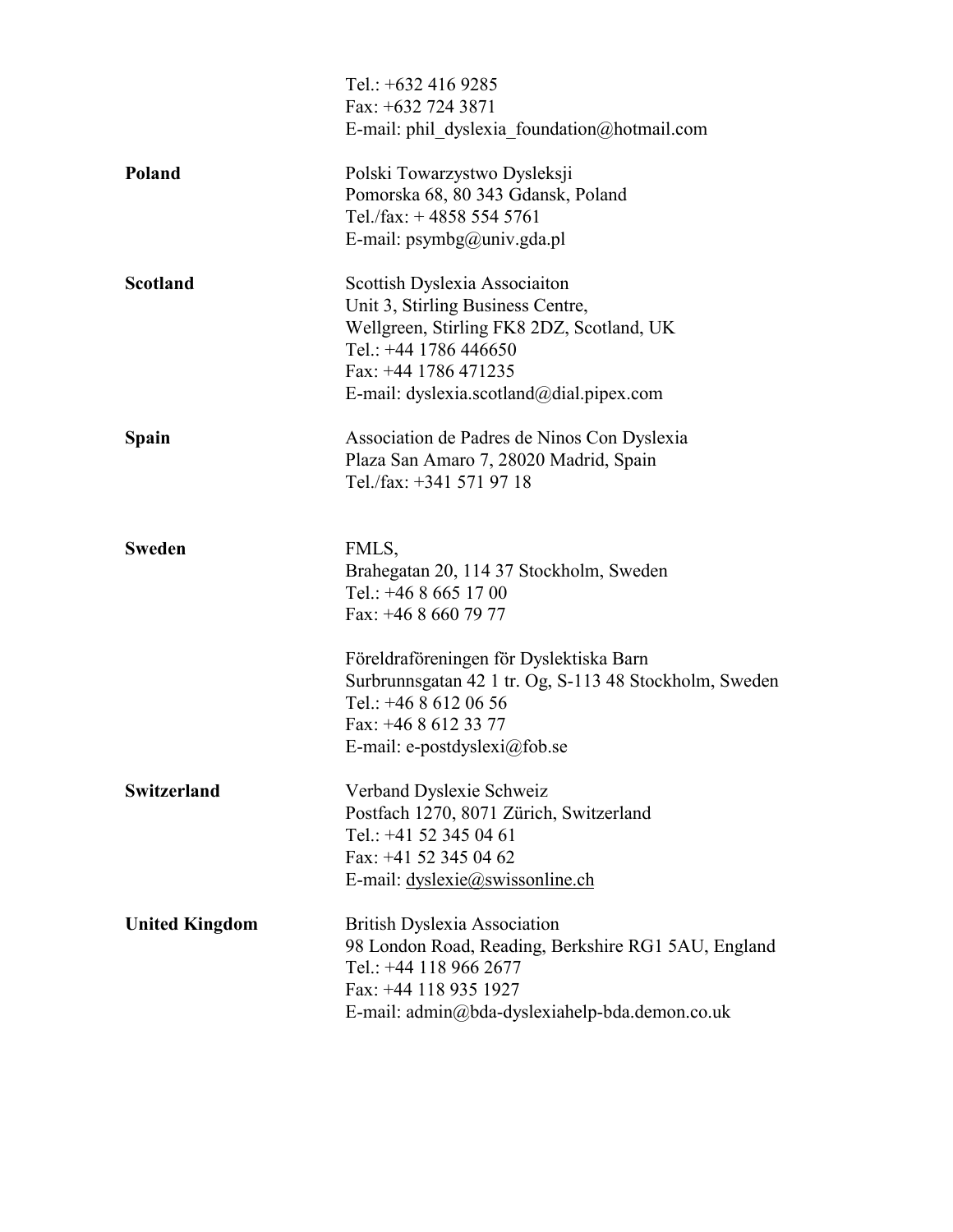|                       | Tel.: $+6324169285$<br>Fax: +632 724 3871<br>E-mail: phil dyslexia foundation@hotmail.com                                                                                                                                    |
|-----------------------|------------------------------------------------------------------------------------------------------------------------------------------------------------------------------------------------------------------------------|
| Poland                | Polski Towarzystwo Dysleksji<br>Pomorska 68, 80 343 Gdansk, Poland<br>Tel./fax: $+48585545761$<br>E-mail: $psymbg(\omega$ univ.gda.pl                                                                                        |
| <b>Scotland</b>       | Scottish Dyslexia Associaiton<br>Unit 3, Stirling Business Centre,<br>Wellgreen, Stirling FK8 2DZ, Scotland, UK<br>Tel.: +44 1786 446650<br>Fax: +44 1786 471235<br>E-mail: dyslexia.scotland@dial.pipex.com                 |
| <b>Spain</b>          | Association de Padres de Ninos Con Dyslexia<br>Plaza San Amaro 7, 28020 Madrid, Spain<br>Tel./fax: +341 571 97 18                                                                                                            |
| <b>Sweden</b>         | FMLS,<br>Brahegatan 20, 114 37 Stockholm, Sweden<br>Tel.: $+468651700$<br>Fax: +46 8 660 79 77<br>Föreldraföreningen för Dyslektiska Barn<br>Surbrunnsgatan 42 1 tr. Og, S-113 48 Stockholm, Sweden<br>Tel.: +46 8 612 06 56 |
|                       | Fax: +46 8 612 33 77<br>E-mail: e-postdyslexi@fob.se                                                                                                                                                                         |
| <b>Switzerland</b>    | Verband Dyslexie Schweiz<br>Postfach 1270, 8071 Zürich, Switzerland<br>Tel.: +41 52 345 04 61<br>Fax: +41 52 345 04 62<br>E-mail: dyslexie@swissonline.ch                                                                    |
| <b>United Kingdom</b> | <b>British Dyslexia Association</b><br>98 London Road, Reading, Berkshire RG1 5AU, England<br>Tel.: +44 118 966 2677<br>Fax: +44 118 935 1927<br>E-mail: admin@bda-dyslexiahelp-bda.demon.co.uk                              |